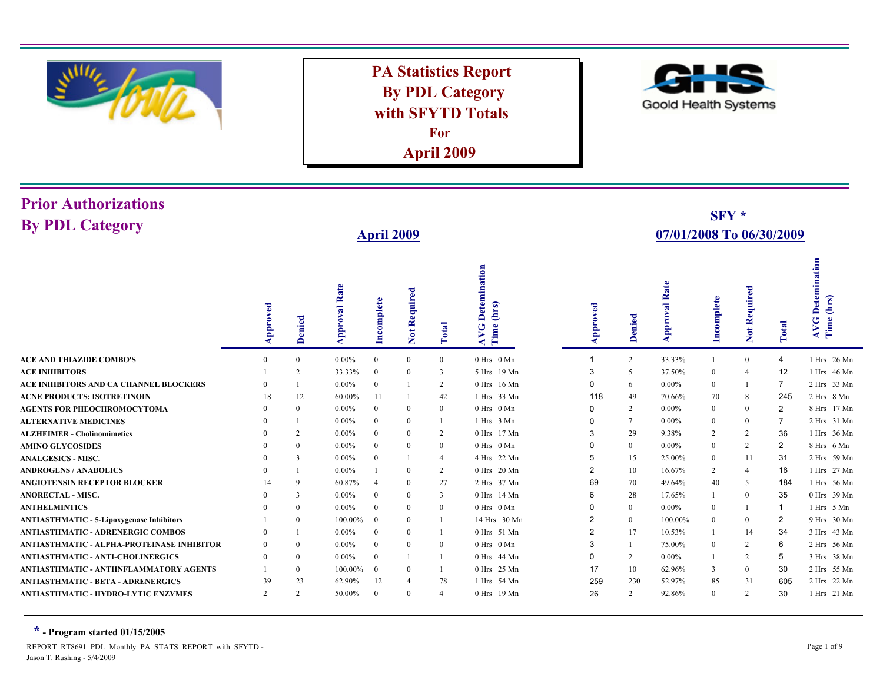|                                                       |               |                |                      |                   |                | <b>PA Statistics Report</b><br><b>By PDL Category</b><br>with <b>SFYTD</b> Totals<br>For<br><b>April 2009</b> |                                       | <b>Goold Health Systems</b> |                 |                          |                  |                |                |                                       |
|-------------------------------------------------------|---------------|----------------|----------------------|-------------------|----------------|---------------------------------------------------------------------------------------------------------------|---------------------------------------|-----------------------------|-----------------|--------------------------|------------------|----------------|----------------|---------------------------------------|
| <b>Prior Authorizations</b><br><b>By PDL Category</b> |               |                |                      | <b>April 2009</b> |                |                                                                                                               |                                       |                             |                 | 07/01/2008 To 06/30/2009 | $SFY *$          |                |                |                                       |
|                                                       | Approved      | <b>Denied</b>  | <b>Approval Rate</b> | Incomplete        | Not Required   | Total                                                                                                         | <b>AVG</b> Detemination<br>Time (hrs) | Approved                    | <b>Denied</b>   | <b>Approval Rate</b>     | Incomplete       | Not Required   | Total          | <b>AVG</b> Detemination<br>Time (hrs) |
| <b>ACE AND THIAZIDE COMBO'S</b>                       | $\theta$      | $\overline{0}$ | $0.00\%$             | $\overline{0}$    | $\mathbf{0}$   | $\mathbf{0}$                                                                                                  | 0 Hrs 0 Mn                            | 1                           | $\overline{2}$  | 33.33%                   | $\mathbf{1}$     | $\mathbf{0}$   | 4              | 1 Hrs 26 Mn                           |
| <b>ACE INHIBITORS</b>                                 |               | 2              | 33.33%               | $\mathbf{0}$      | $\Omega$       | 3                                                                                                             | 5 Hrs 19 Mn                           | 3                           | 5               | 37.50%                   | $\boldsymbol{0}$ | $\overline{4}$ | 12             | 1 Hrs 46 Mn                           |
| ACE INHIBITORS AND CA CHANNEL BLOCKERS                | $\theta$      |                | $0.00\%$             | $\boldsymbol{0}$  | $\overline{1}$ | 2                                                                                                             | 0 Hrs 16 Mn                           | $\Omega$                    | 6               | $0.00\%$                 | $\boldsymbol{0}$ | $\overline{1}$ | $\overline{7}$ | 2 Hrs 33 Mn                           |
| <b>ACNE PRODUCTS: ISOTRETINOIN</b>                    | 18            | 12             | 60.00%               | 11                | $\overline{1}$ | 42                                                                                                            | 1 Hrs 33 Mn                           | 118                         | 49              | 70.66%                   | 70               | 8              | 245            | 2 Hrs 8 Mn                            |
| <b>AGENTS FOR PHEOCHROMOCYTOMA</b>                    | $\Omega$      | $\theta$       | $0.00\%$             | $\mathbf{0}$      | $\Omega$       | $\mathbf{0}$                                                                                                  | 0 Hrs 0 Mn                            | $\Omega$                    | 2               | $0.00\%$                 | $\mathbf{0}$     | $\Omega$       | $\overline{2}$ | 8 Hrs 17 Mn                           |
| <b>ALTERNATIVE MEDICINES</b>                          | 0             |                | $0.00\%$             | $\mathbf{0}$      | $\Omega$       | -1                                                                                                            | 1 Hrs 3 Mn                            | $\Omega$                    | $7\phantom{.0}$ | $0.00\%$                 | $\boldsymbol{0}$ | $\mathbf{0}$   | $\overline{7}$ | 2 Hrs 31 Mn                           |
| <b>ALZHEIMER - Cholinomimetics</b>                    |               | $\overline{2}$ | $0.00\%$             | $\Omega$          | $\Omega$       | $\overline{2}$                                                                                                | 0 Hrs 17 Mn                           | 3                           | 29              | 9.38%                    | $\overline{2}$   | $\overline{2}$ | 36             | 1 Hrs 36 Mn                           |
| <b>AMINO GLYCOSIDES</b>                               |               | $\Omega$       | $0.00\%$             | $\mathbf{0}$      | $\Omega$       | $\mathbf{0}$                                                                                                  | 0 Hrs 0 Mn                            | $\Omega$                    | $\mathbf{0}$    | $0.00\%$                 | $\boldsymbol{0}$ | $\overline{2}$ | $\overline{2}$ | 8 Hrs 6 Mn                            |
| <b>ANALGESICS - MISC.</b>                             | $\Omega$      | 3              | $0.00\%$             | $\mathbf{0}$      | $\overline{1}$ | $\overline{4}$                                                                                                | 4 Hrs 22 Mn                           | 5                           | 15              | 25.00%                   | $\boldsymbol{0}$ | 11             | 31             | 2 Hrs 59 Mn                           |
| <b>ANDROGENS / ANABOLICS</b>                          | $\theta$      |                | $0.00\%$             |                   | $\Omega$       | $\overline{c}$                                                                                                | 0 Hrs 20 Mn                           | $\overline{2}$              | 10              | 16.67%                   | $\overline{c}$   | $\overline{4}$ | 18             | 1 Hrs 27 Mn                           |
| ANGIOTENSIN RECEPTOR BLOCKER                          | 14            | $\mathbf{Q}$   | 60.87%               | $\overline{4}$    | $\Omega$       | 27                                                                                                            | 2 Hrs 37 Mn                           | 69                          | 70              | 49.64%                   | 40               | 5              | 184            | 1 Hrs 56 Mn                           |
| <b>ANORECTAL - MISC.</b>                              | $\theta$      | $\mathcal{R}$  | $0.00\%$             | $\Omega$          | $\Omega$       | 3                                                                                                             | 0 Hrs 14 Mn                           | 6                           | 28              | 17.65%                   | $\mathbf{1}$     | $\Omega$       | 35             | 0 Hrs 39 Mn                           |
| <b>ANTHELMINTICS</b>                                  |               | $\Omega$       | $0.00\%$             | $\Omega$          | $\mathbf{0}$   | $\overline{0}$                                                                                                | 0 Hrs 0 Mn                            | $\Omega$                    | $\overline{0}$  | $0.00\%$                 | $\boldsymbol{0}$ | 1              | $\mathbf{1}$   | 1 Hrs 5 Mn                            |
| <b>ANTIASTHMATIC - 5-Lipoxygenase Inhibitors</b>      |               | $\Omega$       | 100.00%              | $\mathbf{0}$      | $\Omega$       | $\overline{1}$                                                                                                | 14 Hrs 30 Mn                          | $\mathcal{P}$               | $\overline{0}$  | 100.00%                  | $\overline{0}$   | $\Omega$       | $\overline{c}$ | 9 Hrs 30 Mn                           |
| <b>ANTIASTHMATIC - ADRENERGIC COMBOS</b>              |               |                | $0.00\%$             | $\Omega$          | $\Omega$       | $\mathbf{1}$                                                                                                  | 0 Hrs 51 Mn                           | $\overline{2}$              | 17              | 10.53%                   | 1                | 14             | 34             | 3 Hrs 43 Mn                           |
| ANTIASTHMATIC - ALPHA-PROTEINASE INHIBITOR            |               | $\Omega$       | $0.00\%$             | $\mathbf{0}$      | $\theta$       | $\mathbf{0}$                                                                                                  | 0 Hrs 0 Mn                            | 3                           | $\mathbf{1}$    | 75.00%                   | $\mathbf{0}$     | 2              | 6              | 2 Hrs 56 Mn                           |
| ANTIASTHMATIC - ANTI-CHOLINERGICS                     | $\theta$      | $\mathbf{0}$   | $0.00\%$             | $\boldsymbol{0}$  | $\overline{1}$ | -1                                                                                                            | 0 Hrs 44 Mn                           | $\Omega$                    | $\overline{2}$  | $0.00\%$                 | $\mathbf{1}$     | $\overline{2}$ | 5              | 3 Hrs 38 Mn                           |
| ANTIASTHMATIC - ANTIINFLAMMATORY AGENTS               |               | $\theta$       | 100.00%              | $\mathbf{0}$      | $\Omega$       | $\mathbf{1}$                                                                                                  | 0 Hrs 25 Mn                           | 17                          | 10              | 62.96%                   | 3                | $\theta$       | 30             | 2 Hrs 55 Mn                           |
| <b>ANTIASTHMATIC - BETA - ADRENERGICS</b>             | 39            | 23             | 62.90%               | 12                | 4              | 78                                                                                                            | 1 Hrs 54 Mn                           | 259                         | 230             | 52.97%                   | 85               | 31             | 605            | 2 Hrs 22 Mn                           |
| ANTIASTHMATIC - HYDRO-LYTIC ENZYMES                   | $\mathcal{L}$ | 2              | 50.00%               | $\mathbf{0}$      | $\Omega$       | $\overline{4}$                                                                                                | 0 Hrs 19 Mn                           | 26                          | $\overline{2}$  | 92.86%                   | $\mathbf{0}$     | $\overline{2}$ | 30             | 1 Hrs 21 Mn                           |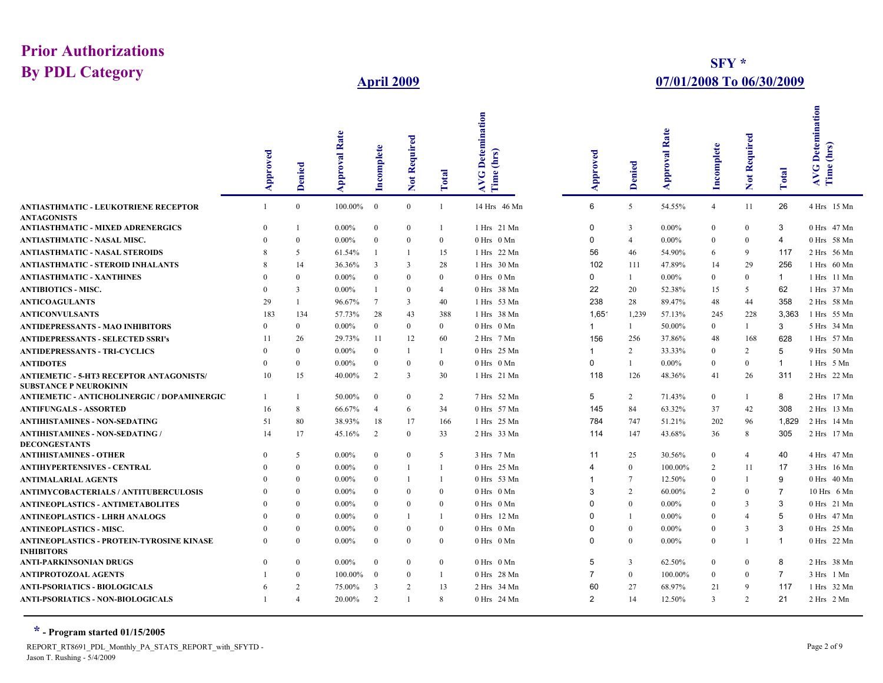## **SFY \* April 2009 07/01/2008 To 06/30/2009**

|                                                                              | pproved  | Denied         | <b>Approval Rate</b> | Incomplete      | Required<br>$\sum_{i=1}^{n}$ | otal           | Detemination<br><b>AVG</b><br>Time | Approved     | <b>Denied</b>   | Rate<br>Approval | ncomplete      | equired<br>Ñ<br><b>Not</b> | otal           | Detemination<br>AVG. |
|------------------------------------------------------------------------------|----------|----------------|----------------------|-----------------|------------------------------|----------------|------------------------------------|--------------|-----------------|------------------|----------------|----------------------------|----------------|----------------------|
| <b>ANTIASTHMATIC - LEUKOTRIENE RECEPTOR</b>                                  |          | $\overline{0}$ | 100.00%              | $\overline{0}$  | $\mathbf{0}$                 | $\overline{1}$ | 14 Hrs 46 Mn                       | 6            | 5               | 54.55%           | $\overline{4}$ | 11                         | 26             | 4 Hrs 15 Mn          |
| <b>ANTAGONISTS</b><br><b>ANTIASTHMATIC - MIXED ADRENERGICS</b>               | $\Omega$ |                | $0.00\%$             | $\Omega$        | $\Omega$                     | $\mathbf{1}$   | 1 Hrs 21 Mn                        | $\Omega$     | $\overline{3}$  | $0.00\%$         | $\Omega$       | $\overline{0}$             | 3              | 0 Hrs 47 Mn          |
| <b>ANTIASTHMATIC - NASAL MISC.</b>                                           | $\Omega$ | $\Omega$       | $0.00\%$             | $\mathbf{0}$    | $\overline{0}$               | $\mathbf{0}$   | 0 Hrs 0 Mn                         | $\Omega$     | $\overline{4}$  | $0.00\%$         | $\Omega$       | $\mathbf{0}$               | 4              | 0 Hrs 58 Mn          |
| <b>ANTIASTHMATIC - NASAL STEROIDS</b>                                        |          | 5              | 61.54%               | - 1             | -1                           | 15             | 1 Hrs 22 Mn                        | 56           | 46              | 54.90%           | 6              | 9                          | 117            | 2 Hrs 56 Mn          |
| <b>ANTIASTHMATIC - STEROID INHALANTS</b>                                     |          | 14             | 36.36%               | $\overline{3}$  | $\overline{3}$               | 28             | 1 Hrs 30 Mn                        | 102          | 111             | 47.89%           | 14             | 29                         | 256            | $1$ Hrs 60 Mn        |
| <b>ANTIASTHMATIC - XANTHINES</b>                                             |          | $\Omega$       | $0.00\%$             | $\mathbf{0}$    | $\overline{0}$               | $\overline{0}$ | 0 Hrs 0 Mn                         | $\Omega$     | $\mathbf{1}$    | $0.00\%$         | $\Omega$       | $\overline{0}$             | $\overline{1}$ | 1 Hrs 11 Mn          |
| <b>ANTIBIOTICS - MISC.</b>                                                   | $\Omega$ | 3              | $0.00\%$             | -1              | $\Omega$                     | $\overline{4}$ | 0 Hrs 38 Mn                        | 22           | 20              | 52.38%           | 15             | 5                          | 62             | 1 Hrs 37 Mn          |
| <b>ANTICOAGULANTS</b>                                                        | 29       | $\mathbf{1}$   | 96.67%               | $7\phantom{.0}$ | 3                            | 40             | 1 Hrs 53 Mn                        | 238          | 28              | 89.47%           | 48             | 44                         | 358            | 2 Hrs 58 Mn          |
| <b>ANTICONVULSANTS</b>                                                       | 183      | 134            | 57.73%               | 28              | 43                           | 388            | 1 Hrs 38 Mn                        | 1,651        | 1,239           | 57.13%           | 245            | 228                        | 3,363          | 1 Hrs 55 Mn          |
| <b>ANTIDEPRESSANTS - MAO INHIBITORS</b>                                      | $\theta$ | $\Omega$       | $0.00\%$             | $\overline{0}$  | $\mathbf{0}$                 | $\theta$       | $0 \text{ Mn}$<br>$0$ Hrs          | $\mathbf{1}$ | $\mathbf{1}$    | 50.00%           | $\theta$       | $\mathbf{1}$               | 3              | 5 Hrs 34 Mn          |
| <b>ANTIDEPRESSANTS - SELECTED SSRI's</b>                                     | 11       | 26             | 29.73%               | -11             | 12                           | 60             | 2 Hrs 7 Mn                         | 156          | 256             | 37.86%           | 48             | 168                        | 628            | 1 Hrs 57 Mn          |
| <b>ANTIDEPRESSANTS - TRI-CYCLICS</b>                                         | $\Omega$ | $\Omega$       | $0.00\%$             | $\overline{0}$  | -1                           | $\mathbf{1}$   | 0 Hrs 25 Mn                        | 1            | 2               | 33.33%           | $\Omega$       | 2                          | 5              | 9 Hrs 50 Mn          |
| <b>ANTIDOTES</b>                                                             | $\Omega$ | $\Omega$       | $0.00\%$             | $\theta$        | $\mathbf{0}$                 | $\overline{0}$ | $0$ Hrs $0$ Mn                     | $\Omega$     | $\mathbf{1}$    | $0.00\%$         | $\theta$       | $\overline{0}$             | $\overline{1}$ | 1 Hrs 5 Mn           |
| <b>ANTIEMETIC - 5-HT3 RECEPTOR ANTAGONISTS/</b>                              | 10       | 15             | 40.00%               | 2               | 3                            | 30             | 1 Hrs 21 Mn                        | 118          | 126             | 48.36%           | 41             | 26                         | 311            | 2 Hrs 22 Mn          |
| <b>SUBSTANCE P NEUROKININ</b><br>ANTIEMETIC - ANTICHOLINERGIC / DOPAMINERGIC | -1       |                | 50.00%               | $\mathbf{0}$    | $\overline{0}$               | 2              | 7 Hrs 52 Mn                        | 5            | 2               | 71.43%           | $\Omega$       | $\mathbf{1}$               | 8              | 2 Hrs 17 Mn          |
| <b>ANTIFUNGALS - ASSORTED</b>                                                | 16       | 8              | 66.67%               | $\overline{4}$  | 6                            | 34             | 0 Hrs 57 Mn                        | 145          | 84              | 63.32%           | 37             | 42                         | 308            | 2 Hrs 13 Mn          |
| <b>ANTIHISTAMINES - NON-SEDATING</b>                                         | 51       | 80             | 38.93%               | 18              | 17                           | 166            | 1 Hrs 25 Mn                        | 784          | 747             | 51.21%           | 202            | 96                         | 1,829          | 2 Hrs 14 Mn          |
| <b>ANTIHISTAMINES - NON-SEDATING /</b>                                       | 14       | 17             | 45.16%               | 2               | $\overline{0}$               | 33             | 2 Hrs 33 Mn                        | 114          | 147             | 43.68%           | 36             | 8                          | 305            | 2 Hrs 17 Mn          |
| <b>DECONGESTANTS</b>                                                         |          |                |                      |                 |                              |                |                                    |              |                 |                  |                |                            |                |                      |
| <b>ANTIHISTAMINES - OTHER</b>                                                | $\theta$ | 5              | $0.00\%$             | $\mathbf{0}$    | $\overline{0}$               | 5              | 3 Hrs 7 Mn                         | 11           | 25              | 30.56%           | $\Omega$       | $\overline{4}$             | 40             | 4 Hrs 47 Mn          |
| <b>ANTIHYPERTENSIVES - CENTRAL</b>                                           | $\Omega$ | $\Omega$       | $0.00\%$             | $\overline{0}$  | $\overline{1}$               | $\overline{1}$ | 0 Hrs 25 Mn                        | 4            | $\overline{0}$  | 100.00%          | 2              | 11                         | 17             | 3 Hrs 16 Mn          |
| <b>ANTIMALARIAL AGENTS</b>                                                   |          | $\Omega$       | $0.00\%$             | $\overline{0}$  | -1                           | -1             | 0 Hrs 53 Mn                        | 1            | $7\phantom{.0}$ | 12.50%           | $\Omega$       | $\mathbf{1}$               | 9              | 0 Hrs 40 Mn          |
| <b>ANTIMYCOBACTERIALS / ANTITUBERCULOSIS</b>                                 |          | $\Omega$       | $0.00\%$             | $\Omega$        | $\Omega$                     | $\overline{0}$ | 0 Hrs 0 Mn                         | 3            | 2               | 60.00%           | 2              | $\overline{0}$             | $\overline{7}$ | $10$ Hrs $6$ Mn      |
| <b>ANTINEOPLASTICS - ANTIMETABOLITES</b>                                     |          | $\Omega$       | $0.00\%$             | $\Omega$        | $\Omega$                     | $\overline{0}$ | 0 Hrs 0 Mn                         | $\Omega$     | $\mathbf{0}$    | $0.00\%$         | $\Omega$       | $\overline{3}$             | 3              | 0 Hrs 21 Mn          |
| <b>ANTINEOPLASTICS - LHRH ANALOGS</b>                                        |          | $\Omega$       | $0.00\%$             | $\mathbf{0}$    | -1                           | -1             | 0 Hrs 12 Mn                        | 0            | -1              | $0.00\%$         | $\Omega$       | $\overline{4}$             | 5              | 0 Hrs 47 Mn          |
| <b>ANTINEOPLASTICS - MISC.</b>                                               | $\Omega$ | $\Omega$       | $0.00\%$             | $\mathbf{0}$    | $\overline{0}$               | $\overline{0}$ | 0 Hrs 0 Mn                         | 0            | $\mathbf{0}$    | $0.00\%$         | $\Omega$       | 3                          | 3              | 0 Hrs 25 Mn          |
| ANTINEOPLASTICS - PROTEIN-TYROSINE KINASE<br><b>INHIBITORS</b>               | $\theta$ | $\theta$       | $0.00\%$             | $\overline{0}$  | $\overline{0}$               | $\overline{0}$ | 0 Hrs 0 Mn                         | $\Omega$     | $\mathbf{0}$    | $0.00\%$         | $\theta$       | $\mathbf{1}$               | $\overline{1}$ | 0 Hrs 22 Mn          |
| <b>ANTI-PARKINSONIAN DRUGS</b>                                               | $\Omega$ | $\Omega$       | $0.00\%$             | $\mathbf{0}$    | $\overline{0}$               | $\overline{0}$ | 0 Hrs 0 Mn                         | 5            | 3               | 62.50%           | $\Omega$       | $\overline{0}$             | 8              | 2 Hrs 38 Mn          |
| <b>ANTIPROTOZOAL AGENTS</b>                                                  |          | $\Omega$       | 100.00%              | $\overline{0}$  | $\mathbf{0}$                 | -1             | 0 Hrs 28 Mn                        | 7            | $\overline{0}$  | 100.00%          | $\mathbf{0}$   | $\mathbf{0}$               | $\overline{7}$ | 3 Hrs 1 Mn           |
| <b>ANTI-PSORIATICS - BIOLOGICALS</b>                                         | 6        | 2              | 75.00%               | 3               | $\overline{2}$               | 13             | 2 Hrs 34 Mn                        | 60           | 27              | 68.97%           | 21             | 9                          | 117            | 1 Hrs 32 Mn          |
| <b>ANTI-PSORIATICS - NON-BIOLOGICALS</b>                                     |          | $\overline{4}$ | 20.00%               | 2               | $\overline{1}$               | 8              | 0 Hrs 24 Mn                        | 2            | 14              | 12.50%           | $\overline{3}$ | $\overline{2}$             | 21             | $2 Hrs$ $2 Mn$       |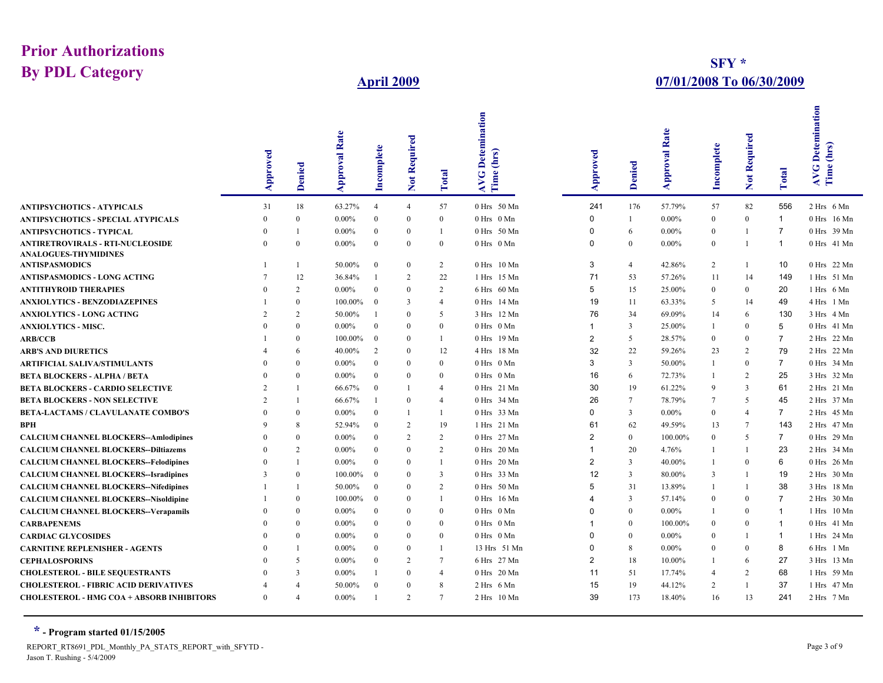## **SFY \* April 2009 07/01/2008 To 06/30/2009**

|                                                                        | pproved       | Denied         | <b>Approval Rate</b> | Incomplete     | Required<br>Not: | Total           | Detemination<br>(hrs)<br><b>AVG</b><br>Time | Approved       | Denied         | Rate<br>$\overline{\mathbf{a}}$<br>pprov | Incomplete     | Not Required     | Total          | Detemination<br>$\overline{S}$<br>Time<br>∢ |
|------------------------------------------------------------------------|---------------|----------------|----------------------|----------------|------------------|-----------------|---------------------------------------------|----------------|----------------|------------------------------------------|----------------|------------------|----------------|---------------------------------------------|
| <b>ANTIPSYCHOTICS - ATYPICALS</b>                                      | 31            | 18             | 63.27%               | $\overline{4}$ | $\overline{4}$   | 57              | 0 Hrs 50 Mn                                 | 241            | 176            | 57.79%                                   | 57             | 82               | 556            | $2 Hrs$ 6 Mn                                |
| <b>ANTIPSYCHOTICS - SPECIAL ATYPICALS</b>                              | $\Omega$      | $\theta$       | $0.00\%$             | $\Omega$       | $\mathbf{0}$     | $\overline{0}$  | 0 Hrs 0 Mn                                  | $\Omega$       | $\mathbf{1}$   | $0.00\%$                                 | $\theta$       | $\mathbf{0}$     | $\overline{1}$ | 0 Hrs 16 Mn                                 |
| <b>ANTIPSYCHOTICS - TYPICAL</b>                                        |               | -1             | $0.00\%$             | $\bf{0}$       | $\bf{0}$         | -1              | 0 Hrs 50 Mn                                 | $\Omega$       | 6              | $0.00\%$                                 | $\mathbf{0}$   |                  | $\overline{7}$ | 0 Hrs 39 Mn                                 |
| <b>ANTIRETROVIRALS - RTI-NUCLEOSIDE</b><br><b>ANALOGUES-THYMIDINES</b> | $\Omega$      | $\Omega$       | $0.00\%$             | $\Omega$       | $\bf{0}$         | $\mathbf{0}$    | $0$ Hrs $0$ Mn                              | $\mathbf 0$    | $\theta$       | $0.00\%$                                 | $\mathbf{0}$   |                  | $\mathbf 1$    | 0 Hrs 41 Mn                                 |
| <b>ANTISPASMODICS</b>                                                  |               |                | 50.00%               | $\mathbf{0}$   | $\bf{0}$         | 2               | 0 Hrs 10 Mn                                 | 3              | $\overline{4}$ | 42.86%                                   | 2              |                  | 10             | 0 Hrs 22 Mn                                 |
| <b>ANTISPASMODICS - LONG ACTING</b>                                    |               | 12             | 36.84%               | $\overline{1}$ | 2                | 22              | 1 Hrs<br>15 Mn                              | 71             | 53             | 57.26%                                   | 11             | 14               | 149            | 1 Hrs 51 Mn                                 |
| <b>ANTITHYROID THERAPIES</b>                                           |               | $\mathcal{D}$  | $0.00\%$             | $\Omega$       | $\bf{0}$         | 2               | 6 Hrs 60 Mn                                 | 5              | 15             | 25.00%                                   | $\theta$       | $\boldsymbol{0}$ | 20             | 1 Hrs 6 Mn                                  |
| <b>ANXIOLYTICS - BENZODIAZEPINES</b>                                   |               | $\Omega$       | 100.00%              | $\overline{0}$ | 3                | $\overline{4}$  | 0 Hrs 14 Mn                                 | 19             | 11             | 63.33%                                   | -5             | 14               | 49             | 4 Hrs 1 Mn                                  |
| <b>ANXIOLYTICS - LONG ACTING</b>                                       |               | $\overline{2}$ | 50.00%               |                | $\mathbf{0}$     | 5               | 3 Hrs 12 Mn                                 | 76             | 34             | 69.09%                                   | 14             | 6                | 130            | 3 Hrs 4 Mn                                  |
| <b>ANXIOLYTICS - MISC.</b>                                             |               | $\Omega$       | $0.00\%$             | $\Omega$       | $\mathbf{0}$     | $\overline{0}$  | 0 Hrs 0 Mn                                  | $\mathbf 1$    | 3              | 25.00%                                   |                | $\mathbf{0}$     | 5              | 0 Hrs 41 Mn                                 |
| <b>ARB/CCB</b>                                                         |               | $\Omega$       | 100.00%              | $\overline{0}$ | $\mathbf{0}$     | -1              | 0 Hrs 19 Mn                                 | $\overline{2}$ | 5              | 28.57%                                   | $\theta$       | $\Omega$         | $\overline{7}$ | 2 Hrs 22 Mn                                 |
| <b>ARB'S AND DIURETICS</b>                                             |               | 6              | 40.00%               | 2              | $\mathbf{0}$     | 12              | 4 Hrs 18 Mn                                 | 32             | 22             | 59.26%                                   | 23             | $\overline{2}$   | 79             | 2 Hrs 22 Mn                                 |
| <b>ARTIFICIAL SALIVA/STIMULANTS</b>                                    |               | $\Omega$       | $0.00\%$             | $\Omega$       | $\bf{0}$         | $\overline{0}$  | 0 Hrs 0 Mn                                  | 3              | 3              | 50.00%                                   |                | $\Omega$         | $\overline{7}$ | 0 Hrs 34 Mn                                 |
| <b>BETA BLOCKERS - ALPHA / BETA</b>                                    |               | $\Omega$       | $0.00\%$             | $\Omega$       | $\mathbf{0}$     | $\overline{0}$  | 0 Hrs 0 Mn                                  | 16             | 6              | 72.73%                                   |                | $\overline{2}$   | 25             | 3 Hrs 32 Mn                                 |
| <b>BETA BLOCKERS - CARDIO SELECTIVE</b>                                | $\mathcal{D}$ |                | 66.67%               | $\Omega$       | 1                | $\overline{4}$  | 0 Hrs 21 Mn                                 | 30             | 19             | 61.22%                                   | 9              | $\mathcal{R}$    | 61             | 2 Hrs 21 Mn                                 |
| <b>BETA BLOCKERS - NON SELECTIVE</b>                                   |               |                | 66.67%               | -1             | $\mathbf{0}$     | $\overline{4}$  | 0 Hrs 34 Mn                                 | 26             | $\tau$         | 78.79%                                   | $\overline{7}$ | 5                | 45             | 2 Hrs 37 Mn                                 |
| <b>BETA-LACTAMS / CLAVULANATE COMBO'S</b>                              |               | $\Omega$       | $0.00\%$             | $\theta$       | $\mathbf{1}$     | $\mathbf{1}$    | 0 Hrs 33 Mn                                 | $\Omega$       | $\overline{3}$ | $0.00\%$                                 | $\theta$       | $\overline{4}$   | $\overline{7}$ | 2 Hrs 45 Mn                                 |
| BPH                                                                    |               | 8              | 52.94%               | $\mathbf{0}$   | 2                | 19              | 1 Hrs 21 Mn                                 | 61             | 62             | 49.59%                                   | 13             | 7                | 143            | 2 Hrs 47 Mn                                 |
| <b>CALCIUM CHANNEL BLOCKERS--Amlodipines</b>                           |               | $\Omega$       | $0.00\%$             | $\overline{0}$ | 2                | 2               | 0 Hrs 27 Mn                                 | $\overline{2}$ | $\overline{0}$ | 100.00%                                  | $\theta$       | 5                | $\overline{7}$ | 0 Hrs 29 Mn                                 |
| <b>CALCIUM CHANNEL BLOCKERS--Diltiazems</b>                            |               | $\overline{2}$ | $0.00\%$             | $\Omega$       | $\mathbf{0}$     | 2               | 0 Hrs 20 Mn                                 |                | 20             | 4.76%                                    |                |                  | 23             | 2 Hrs 34 Mn                                 |
| <b>CALCIUM CHANNEL BLOCKERS--Felodipines</b>                           |               | $\mathbf{1}$   | $0.00\%$             | $\Omega$       | $\bf{0}$         | -1              | 0 Hrs 20 Mn                                 | $\overline{2}$ | 3              | 40.00%                                   |                | $\mathbf{0}$     | 6              | 0 Hrs 26 Mn                                 |
| <b>CALCIUM CHANNEL BLOCKERS-Isradipines</b>                            |               | $\Omega$       | 100.00%              | $\theta$       | $\mathbf{0}$     | $\overline{3}$  | 0 Hrs 33 Mn                                 | 12             | 3              | 80.00%                                   | 3              |                  | 19             | 2 Hrs 30 Mn                                 |
| <b>CALCIUM CHANNEL BLOCKERS--Nifedipines</b>                           |               |                | 50.00%               | $\overline{0}$ | $\bf{0}$         | 2               | 0 Hrs 50 Mn                                 | 5              | 31             | 13.89%                                   |                |                  | 38             | 3 Hrs 18 Mn                                 |
| <b>CALCIUM CHANNEL BLOCKERS--Nisoldipine</b>                           |               | $\Omega$       | 100.00%              | $\overline{0}$ | $\bf{0}$         | $\overline{1}$  | 0 Hrs 16 Mn                                 |                | 3              | 57.14%                                   | $\mathbf{0}$   | $\Omega$         | $\overline{7}$ | 2 Hrs 30 Mn                                 |
| <b>CALCIUM CHANNEL BLOCKERS--Verapamils</b>                            |               | $\Omega$       | $0.00\%$             | $\Omega$       | $\mathbf{0}$     | $\overline{0}$  | 0 Hrs 0 Mn                                  | $\Omega$       | $\overline{0}$ | $0.00\%$                                 |                | $\mathbf{0}$     | $\mathbf 1$    | 1 Hrs 10 Mn                                 |
| <b>CARBAPENEMS</b>                                                     |               | $\theta$       | $0.00\%$             | $\Omega$       | $\mathbf{0}$     | $\overline{0}$  | 0 Hrs 0 Mn                                  |                | $\Omega$       | 100.00%                                  | $\Omega$       | $\Omega$         | $\mathbf 1$    | 0 Hrs 41 Mn                                 |
| <b>CARDIAC GLYCOSIDES</b>                                              |               | $\Omega$       | $0.00\%$             | $\Omega$       | $\mathbf{0}$     | $\overline{0}$  | 0 Hrs 0 Mn                                  | $\Omega$       | $\theta$       | $0.00\%$                                 | $\theta$       |                  | $\mathbf{1}$   | 1 Hrs 24 Mn                                 |
| <b>CARNITINE REPLENISHER - AGENTS</b>                                  |               |                | $0.00\%$             | $\mathbf{0}$   | $\bf{0}$         | -1              | 13 Hrs 51 Mn                                | 0              | 8              | $0.00\%$                                 | $\theta$       | $\mathbf{0}$     | 8              | 6 Hrs 1 Mn                                  |
| <b>CEPHALOSPORINS</b>                                                  |               | 5              | $0.00\%$             | $\Omega$       | 2                | $7\phantom{.0}$ | 6 Hrs 27 Mn                                 | $\overline{2}$ | 18             | 10.00%                                   |                | 6                | 27             | 3 Hrs 13 Mn                                 |
| <b>CHOLESTEROL - BILE SEQUESTRANTS</b>                                 |               | $\mathbf{3}$   | $0.00\%$             |                | $\mathbf{0}$     | $\overline{4}$  | 0 Hrs 20 Mn                                 | 11             | 51             | 17.74%                                   | $\overline{4}$ | 2                | 68             | 1 Hrs 59 Mn                                 |
| <b>CHOLESTEROL - FIBRIC ACID DERIVATIVES</b>                           |               | $\overline{4}$ | 50.00%               | $\Omega$       | $\mathbf{0}$     | 8               | 2 Hrs 6 Mn                                  | 15             | 19             | 44.12%                                   | 2              |                  | 37             | 1 Hrs 47 Mn                                 |
| <b>CHOLESTEROL - HMG COA + ABSORB INHIBITORS</b>                       | $\Omega$      | $\overline{4}$ | $0.00\%$             |                | $\overline{2}$   | $7\phantom{.0}$ | 2 Hrs 10 Mn                                 | 39             | 173            | 18.40%                                   | 16             | 13               | 241            | 2 Hrs 7 Mn                                  |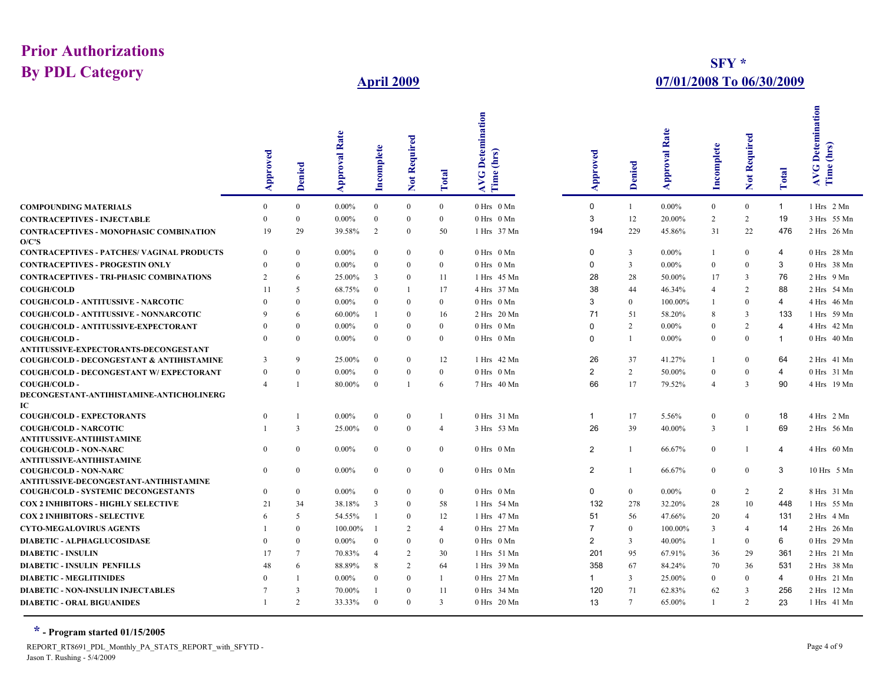## **SFY \* April 2009 07/01/2008 To 06/30/2009**

|                                                                        | pproved       | Denied         | <b>Approval Rate</b> | Incomplete              | Required<br>Not | <b>Total</b>   | Detemination<br><b>AVG</b><br>Time | Approved       | Denied          | Rate<br>$\overline{\mathbf{a}}$<br>Approv | ncomplete        | Required<br>Not | <b>Total</b>   | Detemination<br>AVG. |
|------------------------------------------------------------------------|---------------|----------------|----------------------|-------------------------|-----------------|----------------|------------------------------------|----------------|-----------------|-------------------------------------------|------------------|-----------------|----------------|----------------------|
| <b>COMPOUNDING MATERIALS</b>                                           | $\mathbf{0}$  | $\overline{0}$ | $0.00\%$             | $\mathbf{0}$            | $\mathbf{0}$    | $\overline{0}$ | 0 Hrs 0 Mn                         | 0              | $\mathbf{1}$    | $0.00\%$                                  | $\overline{0}$   | $\mathbf{0}$    | $\overline{1}$ | 1 Hrs 2 Mn           |
| <b>CONTRACEPTIVES - INJECTABLE</b>                                     | $\Omega$      | $\theta$       | $0.00\%$             | $\mathbf{0}$            | $\Omega$        | $\overline{0}$ | $0$ Hrs $0$ Mn                     | 3              | 12              | 20.00%                                    | 2                | $\overline{2}$  | 19             | 3 Hrs 55 Mn          |
| <b>CONTRACEPTIVES - MONOPHASIC COMBINATION</b>                         | 19            | 29             | 39.58%               | 2                       | $\Omega$        | 50             | 1 Hrs 37 Mn                        | 194            | 229             | 45.86%                                    | 31               | 22              | 476            | 2 Hrs 26 Mn          |
| O/C'S                                                                  |               |                |                      |                         |                 |                |                                    |                |                 |                                           |                  |                 |                |                      |
| <b>CONTRACEPTIVES - PATCHES/ VAGINAL PRODUCTS</b>                      | $\Omega$      | $\theta$       | $0.00\%$             | $\Omega$                | $\mathbf{0}$    | $\overline{0}$ | 0 Hrs 0 Mn                         | 0              | $\overline{3}$  | $0.00\%$                                  | $\overline{1}$   | $\mathbf{0}$    | 4              | 0 Hrs 28 Mn          |
| <b>CONTRACEPTIVES - PROGESTIN ONLY</b>                                 | $\Omega$      | $\Omega$       | $0.00\%$             | $\bf{0}$                | $\Omega$        | $\mathbf{0}$   | 0 Hrs 0 Mn                         | 0              | $\overline{3}$  | $0.00\%$                                  | $\overline{0}$   | $\overline{0}$  | 3              | 0 Hrs 38 Mn          |
| <b>CONTRACEPTIVES - TRI-PHASIC COMBINATIONS</b>                        | 2             | 6              | 25.00%               | 3                       | $\theta$        | 11             | 1 Hrs 45 Mn                        | 28             | 28              | 50.00%                                    | 17               | 3               | 76             | 2 Hrs 9 Mn           |
| <b>COUGH/COLD</b>                                                      | 11            | 5              | 68.75%               | $\theta$                | $\mathbf{1}$    | 17             | 4 Hrs 37 Mn                        | 38             | 44              | 46.34%                                    | $\overline{4}$   | $\overline{2}$  | 88             | 2 Hrs 54 Mn          |
| <b>COUGH/COLD - ANTITUSSIVE - NARCOTIC</b>                             |               | $\Omega$       | $0.00\%$             | $\Omega$                | $\Omega$        | $\Omega$       | 0 Hrs 0 Mn                         | 3              | $\overline{0}$  | 100.00%                                   | $\overline{1}$   | $\overline{0}$  | 4              | 4 Hrs 46 Mn          |
| COUGH/COLD - ANTITUSSIVE - NONNARCOTIC                                 |               | 6              | 60.00%               |                         | $\mathbf{0}$    | 16             | 2 Hrs 20 Mn                        | 71             | 51              | 58.20%                                    | 8                | 3               | 133            | 1 Hrs 59 Mn          |
| COUGH/COLD - ANTITUSSIVE-EXPECTORANT                                   | $\Omega$      | $\Omega$       | $0.00\%$             | $\mathbf{0}$            | $\theta$        | $\overline{0}$ | $0$ Hrs $0$ Mn                     | $\Omega$       | 2               | $0.00\%$                                  | $\theta$         | $\overline{2}$  | $\overline{4}$ | 4 Hrs 42 Mn          |
| COUGH/COLD-                                                            | $\Omega$      | $\Omega$       | $0.00\%$             | $\theta$                | $\Omega$        | $\Omega$       | $0$ Hrs $0$ Mn                     | $\Omega$       | $\mathbf{1}$    | $0.00\%$                                  | $\Omega$         | $\theta$        | -1             | 0 Hrs 40 Mn          |
| ANTITUSSIVE-EXPECTORANTS-DECONGESTANT                                  |               |                |                      |                         |                 |                |                                    |                |                 |                                           |                  |                 |                |                      |
| <b>COUGH/COLD - DECONGESTANT &amp; ANTIHISTAMINE</b>                   | $\mathcal{R}$ | $\mathbf Q$    | 25.00%               | $\overline{0}$          | $\Omega$        | 12             | 1 Hrs 42 Mn                        | 26             | 37              | 41.27%                                    | $\overline{1}$   | $\overline{0}$  | 64             | 2 Hrs 41 Mn          |
| <b>COUGH/COLD - DECONGESTANT W/ EXPECTORANT</b>                        | $\Omega$      | $\Omega$       | $0.00\%$             | $\mathbf{0}$            | $\mathbf{0}$    | $\overline{0}$ | 0 Hrs 0 Mn                         | $\overline{2}$ | 2               | 50.00%                                    | $\mathbf{0}$     | $\mathbf{0}$    | $\overline{4}$ | 0 Hrs 31 Mn          |
| <b>COUGH/COLD-</b><br>DECONGESTANT-ANTIHISTAMINE-ANTICHOLINERG         |               |                | 80.00%               | $\overline{0}$          |                 | 6              | 7 Hrs 40 Mn                        | 66             | 17              | 79.52%                                    | $\overline{4}$   | $\overline{3}$  | 90             | 4 Hrs 19 Mn          |
| IC                                                                     |               |                |                      |                         |                 |                |                                    |                |                 |                                           |                  |                 |                |                      |
| <b>COUGH/COLD - EXPECTORANTS</b>                                       | $\mathbf{0}$  |                | $0.00\%$             | $\bf{0}$                | $\bf{0}$        | $\overline{1}$ | 0 Hrs 31 Mn                        | 1              | 17              | 5.56%                                     | $\boldsymbol{0}$ | $\mathbf{0}$    | 18             | 4 Hrs 2 Mn           |
| <b>COUGH/COLD - NARCOTIC</b>                                           |               | 3              | 25.00%               | $\mathbf{0}$            | $\theta$        | $\overline{4}$ | 3 Hrs 53 Mn                        | 26             | 39              | 40.00%                                    | $\overline{3}$   | 1               | 69             | 2 Hrs 56 Mn          |
| <b>ANTITUSSIVE-ANTIHISTAMINE</b>                                       |               |                |                      |                         |                 |                |                                    |                |                 |                                           |                  |                 |                |                      |
| <b>COUGH/COLD - NON-NARC</b>                                           | $\Omega$      | $\Omega$       | $0.00\%$             | $\overline{0}$          | $\Omega$        | $\mathbf{0}$   | 0 Hrs 0 Mn                         | 2              | $\mathbf{1}$    | 66.67%                                    | $\Omega$         | 1               | 4              | 4 Hrs 60 Mn          |
| ANTITUSSIVE-ANTIHISTAMINE                                              |               |                |                      |                         |                 |                |                                    |                |                 |                                           |                  |                 |                |                      |
| <b>COUGH/COLD - NON-NARC</b><br>ANTITUSSIVE-DECONGESTANT-ANTIHISTAMINE | $\Omega$      | $\Omega$       | $0.00\%$             | $\overline{0}$          | $\mathbf{0}$    | $\mathbf{0}$   | 0 Hrs 0 Mn                         | 2              | 1               | 66.67%                                    | $\Omega$         | $\mathbf{0}$    | 3              | 10 Hrs 5 Mn          |
| <b>COUGH/COLD - SYSTEMIC DECONGESTANTS</b>                             | $\Omega$      | $\theta$       | $0.00\%$             | $\Omega$                | $\mathbf{0}$    | $\mathbf{0}$   | 0 Hrs 0 Mn                         | 0              | $\overline{0}$  | $0.00\%$                                  | $\mathbf{0}$     | $\overline{2}$  | $\overline{2}$ | 8 Hrs 31 Mn          |
| <b>COX 2 INHIBITORS - HIGHLY SELECTIVE</b>                             | 21            | 34             | 38.18%               | $\overline{\mathbf{3}}$ | $\bf{0}$        | 58             | 1 Hrs 54 Mn                        | 132            | 278             | 32.20%                                    | 28               | 10              | 448            | 1 Hrs 55 Mn          |
| <b>COX 2 INHIBITORS - SELECTIVE</b>                                    | 6             | 5              | 54.55%               | $\overline{1}$          | $\theta$        | 12             | 1 Hrs 47 Mn                        | 51             | 56              | 47.66%                                    | 20               | $\overline{4}$  | 131            | $2 Hrs$ 4 Mn         |
| <b>CYTO-MEGALOVIRUS AGENTS</b>                                         |               | $\Omega$       | 100.00%              | $\overline{1}$          | 2               | $\overline{4}$ | 0 Hrs 27 Mn                        | $\overline{7}$ | $\bf{0}$        | 100.00%                                   | 3                | $\overline{4}$  | 14             | 2 Hrs 26 Mn          |
| <b>DIABETIC - ALPHAGLUCOSIDASE</b>                                     | $\Omega$      | $\Omega$       | $0.00\%$             | $\theta$                | $\Omega$        | $\theta$       | 0 Hrs 0 Mn                         | 2              | $\overline{3}$  | 40.00%                                    | $\overline{1}$   | $\overline{0}$  | 6              | 0 Hrs 29 Mn          |
| <b>DIABETIC - INSULIN</b>                                              | 17            | $\overline{7}$ | 70.83%               | $\overline{4}$          | $\overline{2}$  | 30             | 1 Hrs 51 Mn                        | 201            | 95              | 67.91%                                    | 36               | 29              | 361            | 2 Hrs 21 Mn          |
| <b>DIABETIC - INSULIN PENFILLS</b>                                     | 48            | 6              | 88.89%               | 8                       | $\overline{2}$  | 64             | 1 Hrs 39 Mn                        | 358            | 67              | 84.24%                                    | 70               | 36              | 531            | 2 Hrs 38 Mn          |
| <b>DIABETIC - MEGLITINIDES</b>                                         | $\Omega$      |                | $0.00\%$             | $\overline{0}$          | $\theta$        | $\mathbf{1}$   | 0 Hrs 27 Mn                        | 1              | $\overline{3}$  | 25.00%                                    | $\theta$         | $\overline{0}$  | $\overline{4}$ | 0 Hrs 21 Mn          |
|                                                                        |               | $\overline{3}$ | 70.00%               | -1                      | $\overline{0}$  | 11             |                                    | 120            | 71              |                                           | 62               | 3               | 256            |                      |
| <b>DIABETIC - NON-INSULIN INJECTABLES</b>                              |               | $\overline{2}$ | 33.33%               | $\overline{0}$          | $\Omega$        | $\overline{3}$ | 0 Hrs 34 Mn                        |                | $7\phantom{.0}$ | 62.83%<br>65.00%                          | $\overline{1}$   | $\overline{2}$  | 23             | 2 Hrs 12 Mn          |
| <b>DIABETIC - ORAL BIGUANIDES</b>                                      |               |                |                      |                         |                 |                | 0 Hrs 20 Mn                        | 13             |                 |                                           |                  |                 |                | 1 Hrs 41 Mn          |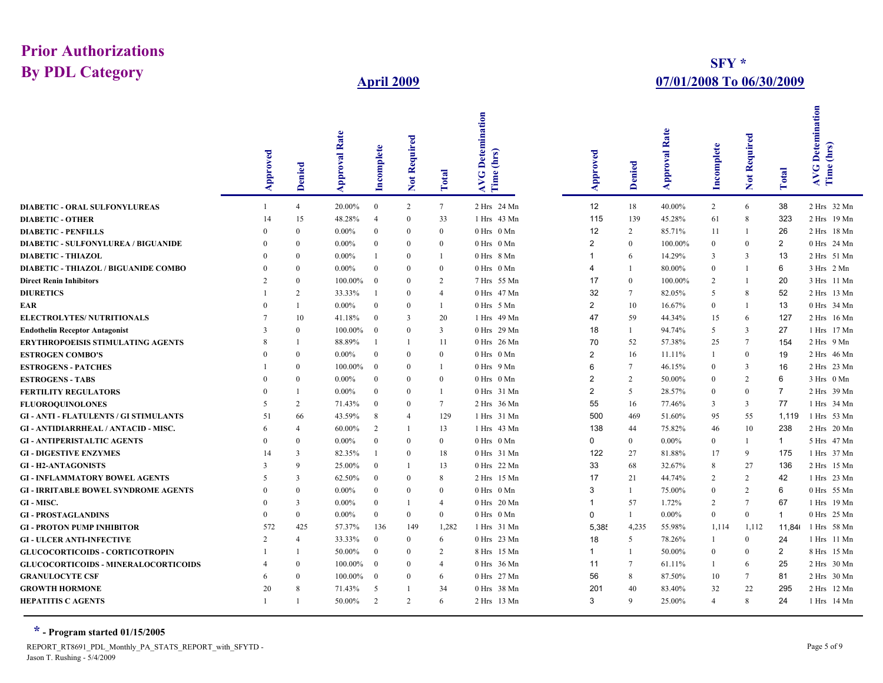## **SFY \* April 2009 07/01/2008 To 06/30/2009**

|                                               | pproved                  | Denied         | <b>Approval Rate</b> | Incomplete     | Required<br>Not | Total           | Detemination<br>(hrs)<br><b>AVG</b><br>Time | Approved       | Denied          | Rate<br>Approval | ncomplete      | Required<br>Not | $\overline{\text{total}}$ | Detemination<br>AVG. |
|-----------------------------------------------|--------------------------|----------------|----------------------|----------------|-----------------|-----------------|---------------------------------------------|----------------|-----------------|------------------|----------------|-----------------|---------------------------|----------------------|
| <b>DIABETIC - ORAL SULFONYLUREAS</b>          |                          | $\overline{4}$ | 20.00%               | $\mathbf{0}$   | 2               | $7\phantom{.0}$ | 2 Hrs 24 Mn                                 | 12             | 18              | 40.00%           | 2              | 6               | 38                        | 2 Hrs 32 Mn          |
| <b>DIABETIC - OTHER</b>                       | 14                       | 15             | 48.28%               | $\overline{4}$ | $\Omega$        | 33              | 1 Hrs 43 Mn                                 | 115            | 139             | 45.28%           | 61             | 8               | 323                       | 2 Hrs 19 Mn          |
| <b>DIABETIC - PENFILLS</b>                    |                          | $\Omega$       | $0.00\%$             | $\overline{0}$ | $\Omega$        | $\mathbf{0}$    | 0 Hrs 0 Mn                                  | 12             | 2               | 85.71%           | 11             | 1               | 26                        | 2 Hrs 18 Mn          |
| <b>DIABETIC - SULFONYLUREA / BIGUANIDE</b>    |                          | $\Omega$       | $0.00\%$             | $\Omega$       | $\Omega$        | $\mathbf{0}$    | 0 Hrs 0 Mn                                  | $\overline{2}$ | $\Omega$        | 100.00%          | $\theta$       | $\overline{0}$  | $\overline{2}$            | 0 Hrs 24 Mn          |
| <b>DIABETIC - THIAZOL</b>                     | $\Omega$                 | $\Omega$       | $0.00\%$             |                | $\Omega$        | $\overline{1}$  | 0 Hrs 8 Mn                                  |                | 6               | 14.29%           | 3              | 3               | 13                        | 2 Hrs 51 Mn          |
| <b>DIABETIC - THIAZOL / BIGUANIDE COMBO</b>   | $\Omega$                 | $\Omega$       | $0.00\%$             | $\overline{0}$ | $\Omega$        | $\mathbf{0}$    | 0 Hrs 0 Mn                                  | 4              | 1               | 80.00%           | $\overline{0}$ | $\mathbf{1}$    | 6                         | 3 Hrs 2 Mn           |
| <b>Direct Renin Inhibitors</b>                | 2                        | $\Omega$       | 100.00%              | $\Omega$       | $\mathbf{0}$    | 2               | 7 Hrs 55 Mn                                 | 17             | $\theta$        | 100.00%          | 2              | $\overline{1}$  | 20                        | 3 Hrs 11 Mn          |
| <b>DIURETICS</b>                              |                          | $\overline{2}$ | 33.33%               |                | $\Omega$        | 4               | 47 Mn<br>0 Hrs                              | 32             | $7\phantom{.0}$ | 82.05%           | 5              | 8               | 52                        | 2 Hrs 13 Mn          |
| EAR                                           |                          |                | $0.00\%$             | $\overline{0}$ | $\Omega$        | $\mathbf{1}$    | 0 Hrs 5 Mn                                  | 2              | 10              | 16.67%           | $\overline{0}$ | $\mathbf{1}$    | 13                        | 0 Hrs 34 Mn          |
| <b>ELECTROLYTES/ NUTRITIONALS</b>             |                          | 10             | 41.18%               | $\bf{0}$       | 3               | 20              | 49 Mn<br>1 Hrs                              | 47             | 59              | 44.34%           | 15             | 6               | 127                       | 2 Hrs 16 Mn          |
| <b>Endothelin Receptor Antagonist</b>         |                          | $\Omega$       | 100.00%              | $\Omega$       | $\Omega$        | 3               | 0 Hrs 29 Mn                                 | 18             | $\mathbf{1}$    | 94.74%           | 5              | 3               | 27                        | 1 Hrs 17 Mn          |
| <b>ERYTHROPOEISIS STIMULATING AGENTS</b>      |                          |                | 88.89%               |                | $\overline{1}$  | 11              | 0 Hrs 26 Mn                                 | 70             | 52              | 57.38%           | 25             | $7\phantom{.0}$ | 154                       | $2 Hrs$ $9 Mn$       |
| <b>ESTROGEN COMBO'S</b>                       |                          | $\Omega$       | $0.00\%$             | $\overline{0}$ | $\Omega$        | $\overline{0}$  | 0 Hrs 0 Mn                                  | $\overline{2}$ | 16              | 11.11%           | $\overline{1}$ | $\mathbf{0}$    | 19                        | 2 Hrs 46 Mn          |
| <b>ESTROGENS - PATCHES</b>                    |                          | $\Omega$       | 100.00%              | $\overline{0}$ | $\Omega$        | $\overline{1}$  | 9 Mn<br>$0$ Hrs                             | 6              | $7\phantom{.0}$ | 46.15%           | $\theta$       | 3               | 16                        | 2 Hrs 23 Mn          |
| <b>ESTROGENS - TABS</b>                       |                          | $\Omega$       | $0.00\%$             | $\Omega$       | $\Omega$        | $\mathbf{0}$    | 0 Hrs 0 Mn                                  | 2              | 2               | 50.00%           | $\Omega$       | $\overline{2}$  | 6                         | 3 Hrs 0 Mn           |
| <b>FERTILITY REGULATORS</b>                   |                          |                | $0.00\%$             | $\Omega$       | $\Omega$        | $\mathbf{1}$    | 0 Hrs 31 Mn                                 | 2              | 5               | 28.57%           | $\Omega$       | $\overline{0}$  | $\overline{7}$            | 2 Hrs 39 Mn          |
| <b>FLUOROQUINOLONES</b>                       | $\overline{\phantom{0}}$ | $\overline{c}$ | 71.43%               | $\overline{0}$ | $\mathbf{0}$    | $7\phantom{.0}$ | 2 Hrs 36 Mn                                 | 55             | 16              | 77.46%           | 3              | 3               | 77                        | 1 Hrs 34 Mn          |
| <b>GI - ANTI - FLATULENTS / GI STIMULANTS</b> | 51                       | 66             | 43.59%               | -8             | $\overline{4}$  | 129             | 1 Hrs 31 Mn                                 | 500            | 469             | 51.60%           | 95             | 55              | 1,119                     | 1 Hrs 53 Mn          |
| GI - ANTIDIARRHEAL / ANTACID - MISC.          |                          | $\Delta$       | 60.00%               | 2              | $\overline{1}$  | 13              | 1 Hrs 43 Mn                                 | 138            | 44              | 75.82%           | 46             | 10              | 238                       | 2 Hrs 20 Mn          |
| <b>GI - ANTIPERISTALTIC AGENTS</b>            |                          | $\Omega$       | $0.00\%$             | $\overline{0}$ | $\Omega$        | $\mathbf{0}$    | 0 Mn<br>0 Hrs                               | 0              | $\bf{0}$        | $0.00\%$         | $\mathbf{0}$   | $\overline{1}$  | $\mathbf{1}$              | 5 Hrs 47 Mn          |
| <b>GI - DIGESTIVE ENZYMES</b>                 | 14                       | 3              | 82.35%               |                | $\Omega$        | 18              | 0 Hrs 31 Mn                                 | 122            | 27              | 81.88%           | 17             | 9               | 175                       | 1 Hrs 37 Mn          |
| <b>GI-H2-ANTAGONISTS</b>                      |                          | 9              | 25.00%               | $\theta$       |                 | 13              | 0 Hrs 22 Mn                                 | 33             | 68              | 32.67%           | 8              | 27              | 136                       | 2 Hrs 15 Mn          |
| <b>GI - INFLAMMATORY BOWEL AGENTS</b>         |                          | 3              | 62.50%               | $\Omega$       | $\Omega$        | 8               | 2 Hrs 15 Mn                                 | 17             | 21              | 44.74%           | 2              | $\overline{2}$  | 42                        | 1 Hrs 23 Mn          |
| <b>GI - IRRITABLE BOWEL SYNDROME AGENTS</b>   |                          | $\Omega$       | $0.00\%$             | $\Omega$       | $\mathbf{0}$    | $\overline{0}$  | 0 Hrs 0 Mn                                  | 3              | $\mathbf{1}$    | 75.00%           | $\mathbf{0}$   | $\overline{2}$  | 6                         | 0 Hrs 55 Mn          |
| GI-MISC.                                      | $\Omega$                 | 3              | $0.00\%$             | $\bf{0}$       | $\overline{1}$  | 4               | 0 Hrs 20 Mn                                 | 1              | 57              | 1.72%            | 2              | $\tau$          | 67                        | 1 Hrs 19 Mn          |
| <b>GI-PROSTAGLANDINS</b>                      | $\Omega$                 | $\Omega$       | $0.00\%$             | $\Omega$       | $\theta$        | $\theta$        | $0$ Hrs $0$ Mn                              | $\Omega$       | $\mathbf{1}$    | $0.00\%$         | $\Omega$       | $\theta$        | $\overline{1}$            | 0 Hrs 25 Mn          |
| <b>GI - PROTON PUMP INHIBITOR</b>             | 572                      | 425            | 57.37%               | 136            | 149             | 1,282           | 1 Hrs 31 Mn                                 | 5,385          | 4,235           | 55.98%           | 1,114          | 1,112           | 11,846                    | 1 Hrs 58 Mn          |
| <b>GI - ULCER ANTI-INFECTIVE</b>              | $\mathfrak{D}$           | $\overline{4}$ | 33.33%               | $\Omega$       | $\Omega$        | 6               | 0 Hrs 23 Mn                                 | 18             | 5               | 78.26%           | $\overline{1}$ | $\overline{0}$  | 24                        | 1 Hrs 11 Mn          |
| <b>GLUCOCORTICOIDS - CORTICOTROPIN</b>        |                          |                | 50.00%               | $\bf{0}$       | $\mathbf{0}$    | $\overline{2}$  | 8 Hrs 15 Mn                                 | $\mathbf{1}$   | $\mathbf{1}$    | 50.00%           | $\mathbf{0}$   | $\overline{0}$  | 2                         | 8 Hrs 15 Mn          |
| <b>GLUCOCORTICOIDS - MINERALOCORTICOIDS</b>   |                          | $\Omega$       | 100.00%              | $\overline{0}$ | $\Omega$        | 4               | 0 Hrs 36 Mn                                 | 11             | $\overline{7}$  | 61.11%           | $\mathbf{1}$   | 6               | 25                        | 2 Hrs 30 Mn          |
| <b>GRANULOCYTE CSF</b>                        | 6                        | $\Omega$       | 100.00%              | $\overline{0}$ | $\Omega$        | 6               | 0 Hrs 27 Mn                                 | 56             | 8               | 87.50%           | 10             | $\tau$          | 81                        | 2 Hrs 30 Mn          |
| <b>GROWTH HORMONE</b>                         | 20                       | 8              | 71.43%               | 5              | -1              | 34              | 0 Hrs 38 Mn                                 | 201            | 40              | 83.40%           | 32             | 22              | 295                       | 2 Hrs 12 Mn          |
| <b>HEPATITIS C AGENTS</b>                     |                          |                | 50.00%               | 2              | $\overline{2}$  | 6               | 2 Hrs 13 Mn                                 | 3              | 9               | 25.00%           | $\overline{4}$ | 8               | 24                        | 1 Hrs 14 Mn          |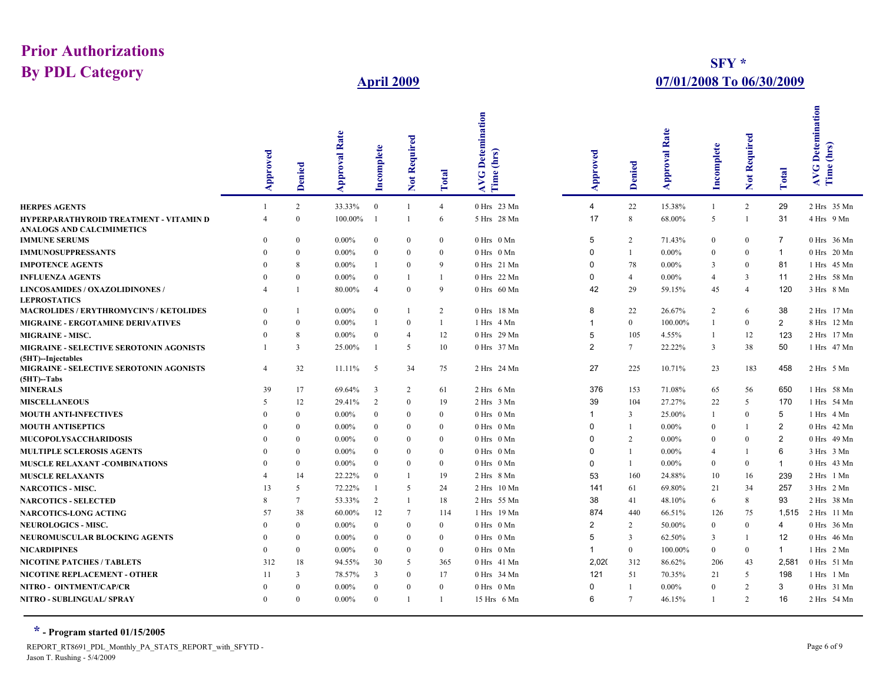## **SFY \* April 2009 07/01/2008 To 06/30/2009**

|                                                                            | pproved  | Denied          | <b>Approval Rate</b> | ncomplete      | Required<br>$\frac{1}{2}$ | otal           | Detemination<br><b>AVG</b><br>Time | Approved       | Denied         | Rate<br>Approval | ncomplete        | equired<br>∝<br><b>Not</b> | otal           | Detemination<br>AVG |
|----------------------------------------------------------------------------|----------|-----------------|----------------------|----------------|---------------------------|----------------|------------------------------------|----------------|----------------|------------------|------------------|----------------------------|----------------|---------------------|
| <b>HERPES AGENTS</b>                                                       |          | $\overline{2}$  | 33.33%               | $\mathbf{0}$   | $\overline{1}$            | $\overline{4}$ | 0 Hrs 23 Mn                        | 4              | 22             | 15.38%           | $\overline{1}$   | $\overline{2}$             | 29             | 2 Hrs 35 Mn         |
| HYPERPARATHYROID TREATMENT - VITAMIN D<br><b>ANALOGS AND CALCIMIMETICS</b> |          | $\Omega$        | 100.00%              |                | $\overline{1}$            | 6              | 5 Hrs 28 Mn                        | 17             | 8              | 68.00%           | 5                | 1                          | 31             | 4 Hrs 9 Mn          |
| <b>IMMUNE SERUMS</b>                                                       | $\Omega$ | $\Omega$        | $0.00\%$             | $\Omega$       | $\Omega$                  | $\mathbf{0}$   | 0 Hrs 0 Mn                         | 5              | 2              | 71.43%           | $\boldsymbol{0}$ | $\overline{0}$             | $\overline{7}$ | 0 Hrs 36 Mn         |
| <b>IMMUNOSUPPRESSANTS</b>                                                  |          | $\Omega$        | $0.00\%$             | $\bf{0}$       | $\mathbf{0}$              | $\mathbf{0}$   | 0 Hrs 0 Mn                         | $\Omega$       | 1              | $0.00\%$         | $\mathbf{0}$     | $\mathbf{0}$               | $\overline{1}$ | 0 Hrs 20 Mn         |
| <b>IMPOTENCE AGENTS</b>                                                    |          | 8               | $0.00\%$             |                | $\Omega$                  | 9              | 0 Hrs 21 Mn                        | 0              | 78             | $0.00\%$         | 3                | $\overline{0}$             | 81             | 1 Hrs 45 Mn         |
| <b>INFLUENZA AGENTS</b>                                                    |          | $\Omega$        | $0.00\%$             | $\Omega$       | $\overline{1}$            | $\overline{1}$ | 0 Hrs 22 Mn                        | $\Omega$       | $\overline{4}$ | $0.00\%$         | $\overline{4}$   | 3                          | 11             | 2 Hrs 58 Mn         |
| LINCOSAMIDES / OXAZOLIDINONES /<br><b>LEPROSTATICS</b>                     |          |                 | 80.00%               | $\overline{4}$ | $\Omega$                  | 9              | $0$ Hrs $60$ Mn                    | 42             | 29             | 59.15%           | 45               | $\overline{4}$             | 120            | 3 Hrs 8 Mn          |
| <b>MACROLIDES / ERYTHROMYCIN'S / KETOLIDES</b>                             | $\Omega$ |                 | $0.00\%$             | $\overline{0}$ | $\overline{1}$            | 2              | 0 Hrs 18 Mn                        | 8              | 22             | 26.67%           | 2                | 6                          | 38             | 2 Hrs 17 Mn         |
| MIGRAINE - ERGOTAMINE DERIVATIVES                                          |          | $\theta$        | $0.00\%$             |                | $\theta$                  | $\mathbf{1}$   | 1 Hrs 4 Mn                         |                | $\mathbf{0}$   | 100.00%          |                  | $\mathbf{0}$               | $\overline{2}$ | 8 Hrs 12 Mn         |
| <b>MIGRAINE - MISC.</b>                                                    | $\Omega$ | 8               | $0.00\%$             | $\Omega$       | $\overline{4}$            | 12             | 0 Hrs 29 Mn                        | 5              | 105            | 4.55%            | $\overline{1}$   | 12                         | 123            | 2 Hrs 17 Mn         |
| MIGRAINE - SELECTIVE SEROTONIN AGONISTS<br>(5HT)--Injectables              |          | 3               | 25.00%               |                | 5                         | 10             | 0 Hrs 37 Mn                        | $\overline{2}$ | $\tau$         | 22.22%           | 3                | 38                         | 50             | 1 Hrs 47 Mn         |
| MIGRAINE - SELECTIVE SEROTONIN AGONISTS<br>$(5HT)$ -Tabs                   |          | 32              | 11.11%               | -5             | 34                        | 75             | 2 Hrs 24 Mn                        | 27             | 225            | 10.71%           | 23               | 183                        | 458            | $2 Hrs$ 5 Mn        |
| <b>MINERALS</b>                                                            | 39       | 17              | 69.64%               | 3              | $\overline{2}$            | 61             | $2 Hrs$ 6 Mn                       | 376            | 153            | 71.08%           | 65               | 56                         | 650            | 1 Hrs 58 Mn         |
| <b>MISCELLANEOUS</b>                                                       | 5        | 12              | 29.41%               | 2              | $\mathbf{0}$              | 19             | $2 Hrs$ $3 Mn$                     | 39             | 104            | 27.27%           | 22               | 5                          | 170            | 1 Hrs 54 Mn         |
| <b>MOUTH ANTI-INFECTIVES</b>                                               | $\Omega$ | $\Omega$        | $0.00\%$             | $\overline{0}$ | $\Omega$                  | $\mathbf{0}$   | 0 Hrs 0 Mn                         | 1              | 3              | 25.00%           | $\mathbf{1}$     | $\overline{0}$             | 5              | 1 Hrs 4 Mn          |
| <b>MOUTH ANTISEPTICS</b>                                                   | $\Omega$ | $\Omega$        | $0.00\%$             | $\overline{0}$ | $\mathbf{0}$              | $\mathbf{0}$   | 0 Hrs 0 Mn                         | $\Omega$       |                | $0.00\%$         | $\mathbf{0}$     |                            | 2              | 0 Hrs 42 Mn         |
| <b>MUCOPOLYSACCHARIDOSIS</b>                                               |          | $\Omega$        | $0.00\%$             | $\Omega$       | $\Omega$                  | $\overline{0}$ | 0 Hrs 0 Mn                         | $\Omega$       | 2              | $0.00\%$         | $\Omega$         | $\overline{0}$             | 2              | 0 Hrs 49 Mn         |
| <b>MULTIPLE SCLEROSIS AGENTS</b>                                           |          | $\Omega$        | $0.00\%$             | $\Omega$       | $\Omega$                  | $\Omega$       | 0 Hrs 0 Mn                         | $\Omega$       |                | $0.00\%$         | $\overline{4}$   |                            | 6              | 3 Hrs 3 Mn          |
| MUSCLE RELAXANT -COMBINATIONS                                              |          | $\Omega$        | $0.00\%$             | $\Omega$       | $\mathbf{0}$              | $\overline{0}$ | 0 Hrs 0 Mn                         | $\Omega$       | $\mathbf{1}$   | $0.00\%$         | $\mathbf{0}$     | $\mathbf{0}$               | $\overline{1}$ | 0 Hrs 43 Mn         |
| <b>MUSCLE RELAXANTS</b>                                                    |          | 14              | 22.22%               | $\overline{0}$ | -1                        | 19             | 2 Hrs 8 Mn                         | 53             | 160            | 24.88%           | 10               | 16                         | 239            | 2 Hrs 1 Mn          |
| <b>NARCOTICS - MISC.</b>                                                   | 13       | 5               | 72.22%               | $\overline{1}$ | 5                         | 24             | 2 Hrs<br>$10 \text{ Mn}$           | 141            | 61             | 69.80%           | 21               | 34                         | 257            | 3 Hrs 2 Mn          |
| <b>NARCOTICS - SELECTED</b>                                                | 8        | $7\phantom{.0}$ | 53.33%               | 2              | $\overline{1}$            | 18             | 2 Hrs 55 Mn                        | 38             | 41             | 48.10%           | 6                | 8                          | 93             | 2 Hrs 38 Mn         |
| <b>NARCOTICS-LONG ACTING</b>                                               | 57       | 38              | 60.00%               | 12             | 7                         | 114            | 1 Hrs 19 Mn                        | 874            | 440            | 66.51%           | 126              | 75                         | 1,515          | 2 Hrs 11 Mn         |
| <b>NEUROLOGICS - MISC.</b>                                                 | $\Omega$ | $\Omega$        | $0.00\%$             | $\Omega$       | $\mathbf{0}$              | $\mathbf{0}$   | 0 Hrs 0 Mn                         | $\overline{2}$ | 2              | 50.00%           | $\overline{0}$   | $\overline{0}$             | 4              | 0 Hrs 36 Mn         |
| NEUROMUSCULAR BLOCKING AGENTS                                              |          | $\Omega$        | $0.00\%$             | $\Omega$       | $\mathbf{0}$              | $\overline{0}$ | 0 Hrs 0 Mn                         | 5              | $\overline{3}$ | 62.50%           | 3                | $\overline{1}$             | 12             | 0 Hrs 46 Mn         |
| <b>NICARDIPINES</b>                                                        | $\Omega$ | $\Omega$        | $0.00\%$             | $\overline{0}$ | $\mathbf{0}$              | $\overline{0}$ | $0$ Hrs $0$ Mn                     | 1              | $\bf{0}$       | 100.00%          | $\mathbf{0}$     | $\mathbf{0}$               | $\overline{1}$ | 1 Hrs 2 Mn          |
| <b>NICOTINE PATCHES / TABLETS</b>                                          | 312      | 18              | 94.55%               | 30             | 5                         | 365            | 0 Hrs 41 Mn                        | 2,020          | 312            | 86.62%           | 206              | 43                         | 2,581          | 0 Hrs 51 Mn         |
| NICOTINE REPLACEMENT - OTHER                                               | 11       | 3               | 78.57%               | 3              | $\theta$                  | 17             | 0 Hrs 34 Mn                        | 121            | 51             | 70.35%           | 21               | 5                          | 198            | 1 Hrs 1 Mn          |
| NITRO - OINTMENT/CAP/CR                                                    |          | $\Omega$        | $0.00\%$             | $\Omega$       | $\Omega$                  | $\mathbf{0}$   | $0$ Hrs $0$ Mn                     | $\Omega$       |                | $0.00\%$         | $\Omega$         | $\overline{2}$             | 3              | 0 Hrs 31 Mn         |
| NITRO - SUBLINGUAL/ SPRAY                                                  | $\Omega$ | $\Omega$        | $0.00\%$             | $\overline{0}$ |                           | 1              | 15 Hrs 6 Mn                        | 6              | $\overline{7}$ | 46.15%           | $\overline{1}$   | $\overline{2}$             | 16             | 2 Hrs 54 Mn         |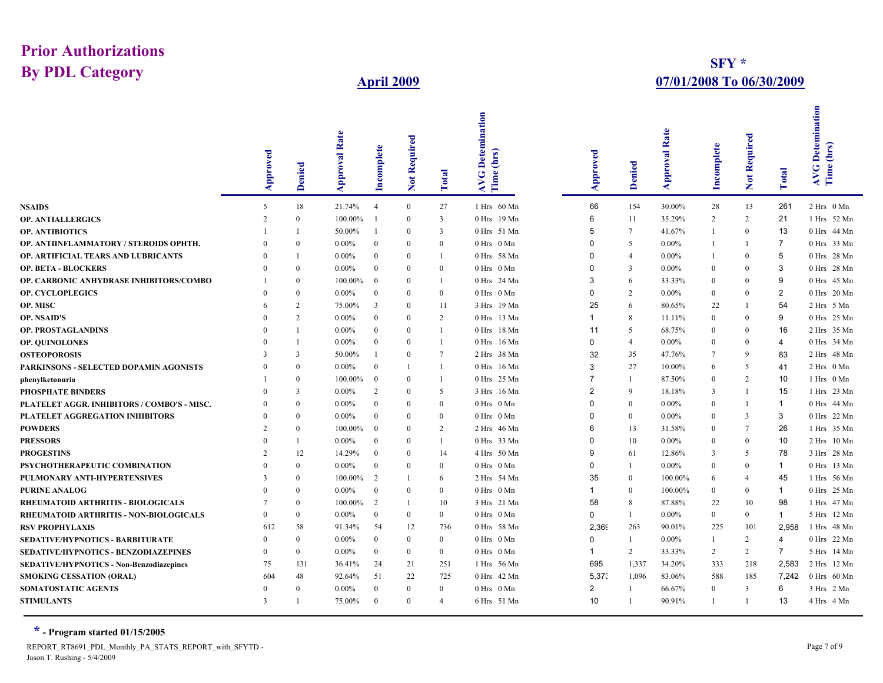## **SFY \* April 2009 07/01/2008 To 06/30/2009**

|                                                 | pproved        | Denied         | <b>Approval Rate</b> | Incomplete     | Required<br>$\frac{1}{2}$ | Total           | Detemination<br><b>AVG</b><br>Time | Approved       | Denied          | Rate<br>$\overline{\mathbf{a}}$<br>Approv | Incomplete     | Required<br>Not | otal           | Detemination<br>AVG.     |
|-------------------------------------------------|----------------|----------------|----------------------|----------------|---------------------------|-----------------|------------------------------------|----------------|-----------------|-------------------------------------------|----------------|-----------------|----------------|--------------------------|
| <b>NSAIDS</b>                                   | 5              | 18             | 21.74%               | $\overline{4}$ | $\mathbf{0}$              | 27              | 1 Hrs 60 Mn                        | 66             | 154             | 30.00%                                    | 28             | 13              | 261            | 2 Hrs 0 Mn               |
| <b>OP. ANTIALLERGICS</b>                        | $\overline{2}$ | $\overline{0}$ | 100.00%              | $\overline{1}$ | $\Omega$                  | 3               | 0 Hrs 19 Mn                        | 6              | 11              | 35.29%                                    | 2              | $\overline{2}$  | 21             | 1 Hrs 52 Mn              |
| OP. ANTIBIOTICS                                 |                | $\mathbf{1}$   | 50.00%               | $\overline{1}$ | $\Omega$                  | $\overline{3}$  | 0 Hrs 51 Mn                        | 5              | $7\phantom{.0}$ | 41.67%                                    | $\overline{1}$ | $\overline{0}$  | 13             | $0$ Hrs $44$ Mn          |
| OP. ANTIINFLAMMATORY / STEROIDS OPHTH.          | $\Omega$       | $\Omega$       | $0.00\%$             | $\overline{0}$ | $\Omega$                  | $\overline{0}$  | 0 Hrs 0 Mn                         | $\Omega$       | 5               | $0.00\%$                                  | $\overline{1}$ | 1               | $\overline{7}$ | 0 Hrs 33 Mn              |
| OP. ARTIFICIAL TEARS AND LUBRICANTS             | $\Omega$       |                | $0.00\%$             | $\Omega$       | $\Omega$                  | $\mathbf{1}$    | 0 Hrs 58 Mn                        | $\Omega$       | $\overline{4}$  | $0.00\%$                                  | $\mathbf{1}$   | $\overline{0}$  | 5              | 0 Hrs 28 Mn              |
| <b>OP. BETA - BLOCKERS</b>                      | $\Omega$       | $\theta$       | $0.00\%$             | $\overline{0}$ | $\Omega$                  | $\mathbf{0}$    | $0$ Hrs $0$ Mn                     | $\Omega$       | 3               | $0.00\%$                                  | $\Omega$       | $\mathbf{0}$    | 3              | 0 Hrs 28 Mn              |
| OP. CARBONIC ANHYDRASE INHIBITORS/COMBO         |                | $\Omega$       | 100.00%              | $\theta$       | $\Omega$                  | $\overline{1}$  | 0 Hrs 24 Mn                        | 3              | 6               | 33.33%                                    | $\Omega$       | $\overline{0}$  | 9              | 0 Hrs 45 Mn              |
| OP. CYCLOPLEGICS                                |                | $\theta$       | $0.00\%$             | $\overline{0}$ | $\theta$                  | $\overline{0}$  | 0 Mn<br>$0$ Hrs                    | 0              | $\overline{2}$  | $0.00\%$                                  | $\theta$       | $\theta$        | $\overline{2}$ | 0 Hrs 20 Mn              |
| OP. MISC                                        | 6              | $\overline{c}$ | 75.00%               | 3              | $\Omega$                  | 11              | 3 Hrs 19 Mn                        | 25             | 6               | 80.65%                                    | 22             |                 | 54             | $2 Hrs$ 5 Mn             |
| <b>OP. NSAID'S</b>                              | $\Omega$       | $\overline{2}$ | $0.00\%$             | $\overline{0}$ | $\Omega$                  | $\overline{2}$  | 0 Hrs 13 Mn                        | 1              | 8               | 11.11%                                    | $\Omega$       | $\mathbf{0}$    | 9              | 0 Hrs 25 Mn              |
| OP. PROSTAGLANDINS                              | $\Omega$       |                | $0.00\%$             | $\Omega$       | $\Omega$                  | $\mathbf{1}$    | 0 Hrs 18 Mn                        | 11             | 5               | 68.75%                                    | $\Omega$       | $\overline{0}$  | 16             | 2 Hrs 35 Mn              |
| <b>OP. QUINOLONES</b>                           |                | $\mathbf{1}$   | $0.00\%$             | $\overline{0}$ | $\mathbf{0}$              | $\overline{1}$  | 0 Hrs 16 Mn                        | 0              | $\overline{4}$  | $0.00\%$                                  | $\Omega$       | $\mathbf{0}$    | 4              | 0 Hrs 34 Mn              |
| <b>OSTEOPOROSIS</b>                             |                | 3              | 50.00%               | $\overline{1}$ | $\Omega$                  | $7\phantom{.0}$ | 2 Hrs 38 Mn                        | 32             | 35              | 47.76%                                    | 7              | 9               | 83             | 2 Hrs 48 Mn              |
| <b>PARKINSONS - SELECTED DOPAMIN AGONISTS</b>   |                | $\Omega$       | $0.00\%$             | $\overline{0}$ | $\mathbf{1}$              | $\overline{1}$  | 0 Hrs 16 Mn                        | 3              | 27              | 10.00%                                    | 6              | 5               | 41             | $2 Hrs$ 0 Mn             |
| phenylketonuria                                 |                | $\theta$       | 100.00%              | $\overline{0}$ | $\Omega$                  | $\overline{1}$  | 0 Hrs 25 Mn                        | 7              | $\overline{1}$  | 87.50%                                    | $\Omega$       | $\overline{2}$  | 10             | 1 Hrs 0 Mn               |
| PHOSPHATE BINDERS                               |                | $\mathbf{3}$   | $0.00\%$             | $\overline{2}$ | $\Omega$                  | 5               | 3 Hrs 16 Mn                        | $\overline{2}$ | 9               | 18.18%                                    | 3              |                 | 15             | 1 Hrs 23 Mn              |
| PLATELET AGGR. INHIBITORS / COMBO'S - MISC.     |                | $\Omega$       | $0.00\%$             | $\Omega$       | $\Omega$                  | $\overline{0}$  | $0$ Hrs $0$ Mn                     | $\Omega$       | $\mathbf{0}$    | $0.00\%$                                  | $\Omega$       | 1               | $\overline{1}$ | 0 Hrs 44 Mn              |
| PLATELET AGGREGATION INHIBITORS                 |                | $\Omega$       | $0.00\%$             | $\theta$       | $\Omega$                  | $\overline{0}$  | $0$ Hrs<br>$0 \text{ Mn}$          | $\Omega$       | $\mathbf{0}$    | $0.00\%$                                  | $\Omega$       | 3               | 3              | 0 Hrs 22 Mn              |
| <b>POWDERS</b>                                  |                | $\Omega$       | 100.00%              | $\overline{0}$ | $\Omega$                  | 2               | 46 Mn<br>2 Hrs                     | 6              | 13              | 31.58%                                    | $\Omega$       | 7               | 26             | 1 Hrs 35 Mn              |
| <b>PRESSORS</b>                                 |                | -1             | $0.00\%$             | $\overline{0}$ | $\Omega$                  | $\overline{1}$  | 0 Hrs 33 Mn                        | $\Omega$       | 10              | $0.00\%$                                  | $\Omega$       | $\overline{0}$  | 10             | $10 \text{ Mn}$<br>2 Hrs |
| <b>PROGESTINS</b>                               |                | 12             | 14.29%               | $\overline{0}$ | $\Omega$                  | 14              | 4 Hrs 50 Mn                        | 9              | 61              | 12.86%                                    | 3              | 5               | 78             | 3 Hrs 28 Mn              |
| PSYCHOTHERAPEUTIC COMBINATION                   |                | $\overline{0}$ | $0.00\%$             | $\theta$       | $\Omega$                  | $\overline{0}$  | 0 Hrs 0 Mn                         | 0              | $\mathbf{1}$    | $0.00\%$                                  | $\Omega$       | $\overline{0}$  | $\mathbf{1}$   | 0 Hrs 13 Mn              |
| PULMONARY ANTI-HYPERTENSIVES                    |                | $\theta$       | 100.00%              | $\overline{2}$ | $\mathbf{1}$              | 6               | 2 Hrs 54 Mn                        | 35             | $\bf{0}$        | 100.00%                                   | 6              | $\overline{4}$  | 45             | 1 Hrs 56 Mn              |
| <b>PURINE ANALOG</b>                            |                | $\Omega$       | $0.00\%$             | $\overline{0}$ | $\Omega$                  | $\overline{0}$  | $0 \text{ Mn}$<br>$0$ Hrs          | 1              | $\mathbf{0}$    | 100.00%                                   | $\theta$       | $\overline{0}$  | $\mathbf{1}$   | 0 Hrs 25 Mn              |
| RHEUMATOID ARTHRITIS - BIOLOGICALS              |                | $\Omega$       | 100.00%              | $\overline{2}$ | $\mathbf{1}$              | 10              | 3 Hrs 21 Mn                        | 58             | 8               | 87.88%                                    | 22             | 10              | 98             | 1 Hrs 47 Mn              |
| RHEUMATOID ARTHRITIS - NON-BIOLOGICALS          | $\Omega$       | $\theta$       | $0.00\%$             | $\overline{0}$ | $\mathbf{0}$              | $\overline{0}$  | 0 Hrs 0 Mn                         | 0              | $\mathbf{1}$    | $0.00\%$                                  | $\Omega$       | $\overline{0}$  | $\mathbf{1}$   | 5 Hrs 12 Mn              |
| <b>RSV PROPHYLAXIS</b>                          | 612            | 58             | 91.34%               | 54             | 12                        | 736             | 0 Hrs 58 Mn                        | 2.369          | 263             | 90.01%                                    | 225            | 101             | 2.958          | 1 Hrs 48 Mn              |
| <b>SEDATIVE/HYPNOTICS - BARBITURATE</b>         | 0              | $\Omega$       | $0.00\%$             | $\Omega$       | $\Omega$                  | $\mathbf{0}$    | 0 Hrs 0 Mn                         | 0              | $\mathbf{1}$    | $0.00\%$                                  | -1             | $\overline{2}$  | 4              | 0 Hrs 22 Mn              |
| SEDATIVE/HYPNOTICS - BENZODIAZEPINES            | $\Omega$       | $\Omega$       | $0.00\%$             | $\overline{0}$ | $\mathbf{0}$              | $\overline{0}$  | $0$ Hrs<br>$0 \text{ Mn}$          | 1              | $\overline{2}$  | 33.33%                                    | 2              | $\overline{2}$  | $\overline{7}$ | 5 Hrs 14 Mn              |
| <b>SEDATIVE/HYPNOTICS - Non-Benzodiazepines</b> | 75             | 131            | 36.41%               | 24             | 21                        | 251             | 56 Mn<br>1 Hrs                     | 695            | 1,337           | 34.20%                                    | 333            | 218             | 2,583          | 2 Hrs 12 Mn              |
| <b>SMOKING CESSATION (ORAL)</b>                 | 604            | 48             | 92.64%               | 51             | 22                        | 725             | $0$ Hrs<br>42 Mn                   | 5.373          | 1,096           | 83.06%                                    | 588            | 185             | 7.242          | $0$ Hrs $60$ Mn          |
| <b>SOMATOSTATIC AGENTS</b>                      | $\Omega$       | $\overline{0}$ | $0.00\%$             | $\theta$       | $\theta$                  | $\overline{0}$  | $0$ Hrs $0$ Mn                     | $\overline{2}$ | 1               | 66.67%                                    | $\theta$       | 3               | 6              | 3 Hrs 2 Mn               |
| <b>STIMULANTS</b>                               | 3              | $\mathbf{1}$   | 75.00%               | $\overline{0}$ | $\Omega$                  | $\overline{4}$  | 6 Hrs 51 Mn                        | 10             |                 | 90.91%                                    | $\mathbf{1}$   | $\mathbf{1}$    | 13             | 4 Hrs 4 Mn               |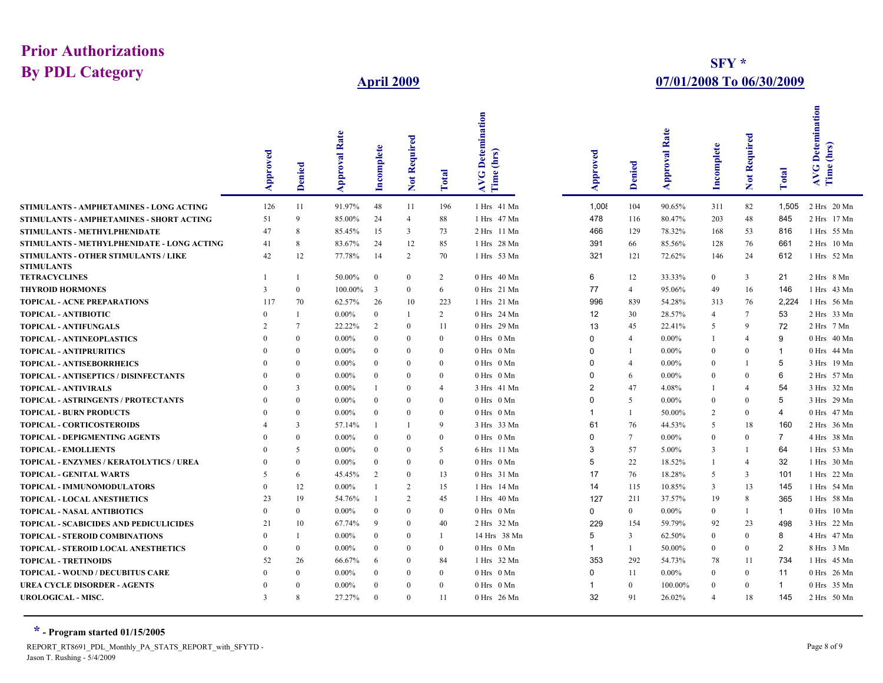## **SFY \* April 2009 07/01/2008 To 06/30/2009**

|                                                           | Approved      | Denied          | <b>Approval Rate</b> | Incomplete     | Required<br>$\overline{\mathbf{z}}$ | $\overline{\text{total}}$ | Detemination<br>(hrs)<br><b>AVG</b><br>Time | Approved       | Denied          | Rate<br>Approval | Incomplete       | equired<br>Ñ<br>Not | otal           | Detemination<br>AVG. |
|-----------------------------------------------------------|---------------|-----------------|----------------------|----------------|-------------------------------------|---------------------------|---------------------------------------------|----------------|-----------------|------------------|------------------|---------------------|----------------|----------------------|
| STIMULANTS - AMPHETAMINES - LONG ACTING                   | 126           | 11              | 91.97%               | 48             | 11                                  | 196                       | 1 Hrs 41 Mn                                 | 1,008          | 104             | 90.65%           | 311              | 82                  | 1.505          | 2 Hrs 20 Mn          |
| STIMULANTS - AMPHETAMINES - SHORT ACTING                  | 51            | 9               | 85.00%               | 24             | 4                                   | 88                        | 1 Hrs 47 Mn                                 | 478            | 116             | 80.47%           | 203              | 48                  | 845            | 2 Hrs 17 Mn          |
| STIMULANTS - METHYLPHENIDATE                              | 47            | 8               | 85.45%               | 15             | 3                                   | 73                        | 2 Hrs 11 Mn                                 | 466            | 129             | 78.32%           | 168              | 53                  | 816            | 1 Hrs 55 Mn          |
| STIMULANTS - METHYLPHENIDATE - LONG ACTING                | 41            | 8               | 83.67%               | 24             | 12                                  | 85                        | 1 Hrs 28 Mn                                 | 391            | 66              | 85.56%           | 128              | 76                  | 661            | 2 Hrs 10 Mn          |
| STIMULANTS - OTHER STIMULANTS / LIKE<br><b>STIMULANTS</b> | 42            | 12              | 77.78%               | 14             | 2                                   | 70                        | 1 Hrs 53 Mn                                 | 321            | 121             | 72.62%           | 146              | 24                  | 612            | 1 Hrs 52 Mn          |
| <b>TETRACYCLINES</b>                                      |               | $\mathbf{1}$    | 50.00%               | $\bf{0}$       | $\mathbf{0}$                        | 2                         | 0 Hrs 40 Mn                                 | 6              | 12              | 33.33%           | $\boldsymbol{0}$ | 3                   | 21             | 2 Hrs 8 Mn           |
| <b>THYROID HORMONES</b>                                   | 3             | $\Omega$        | 100.00%              | $\overline{3}$ | $\Omega$                            | 6                         | 0 Hrs 21 Mn                                 | 77             | $\overline{4}$  | 95.06%           | 49               | 16                  | 146            | 1 Hrs 43 Mn          |
| <b>TOPICAL - ACNE PREPARATIONS</b>                        | 117           | 70              | 62.57%               | 26             | 10                                  | 223                       | 1 Hrs 21 Mn                                 | 996            | 839             | 54.28%           | 313              | 76                  | 2,224          | 1 Hrs 56 Mn          |
| <b>TOPICAL - ANTIBIOTIC</b>                               |               | $\overline{1}$  | $0.00\%$             | $\mathbf{0}$   | $\overline{1}$                      | 2                         | 0 Hrs 24 Mn                                 | 12             | 30              | 28.57%           | $\overline{4}$   | $\tau$              | 53             | 2 Hrs 33 Mn          |
| <b>TOPICAL - ANTIFUNGALS</b>                              |               | $7\phantom{.0}$ | 22.22%               | 2              | $\mathbf{0}$                        | 11                        | 0 Hrs 29 Mn                                 | 13             | 45              | 22.41%           | 5                | 9                   | 72             | 2 Hrs 7 Mn           |
| <b>TOPICAL - ANTINEOPLASTICS</b>                          |               | $\Omega$        | $0.00\%$             | $\mathbf{0}$   | $\Omega$                            | $\theta$                  | 0 Hrs 0 Mn                                  | 0              | $\overline{4}$  | $0.00\%$         | -1               | $\overline{4}$      | 9              | 0 Hrs 40 Mn          |
| <b>TOPICAL - ANTIPRURITICS</b>                            |               | $\Omega$        | $0.00\%$             | $\mathbf{0}$   | $\mathbf{0}$                        | $\theta$                  | 0 Hrs 0 Mn                                  | <sup>0</sup>   | $\overline{1}$  | $0.00\%$         | $\Omega$         | $\overline{0}$      | $\overline{1}$ | 0 Hrs 44 Mn          |
| <b>TOPICAL - ANTISEBORRHEICS</b>                          |               | $\Omega$        | $0.00\%$             | $\mathbf{0}$   | $\Omega$                            | $\Omega$                  | 0 Hrs 0 Mn                                  | $\Omega$       | $\overline{4}$  | $0.00\%$         | $\Omega$         |                     | 5              | 3 Hrs 19 Mn          |
| <b>TOPICAL - ANTISEPTICS / DISINFECTANTS</b>              |               | $\Omega$        | $0.00\%$             | $\Omega$       | $\Omega$                            | $\Omega$                  | $0$ Hrs $0$ Mn                              | $\Omega$       | 6               | $0.00\%$         | $\Omega$         | $\theta$            | 6              | 2 Hrs 57 Mn          |
| <b>TOPICAL - ANTIVIRALS</b>                               |               | 3               | $0.00\%$             |                | $\mathbf{0}$                        | 4                         | 3 Hrs 41 Mn                                 | 2              | 47              | 4.08%            | -1               | 4                   | 54             | 3 Hrs 32 Mn          |
| TOPICAL - ASTRINGENTS / PROTECTANTS                       |               | $\theta$        | $0.00\%$             | $\Omega$       | $\Omega$                            | $\theta$                  | 0 Hrs 0 Mn                                  | $\Omega$       | 5               | $0.00\%$         | $\Omega$         | $\theta$            | 5              | 3 Hrs 29 Mn          |
| <b>TOPICAL - BURN PRODUCTS</b>                            |               | $\Omega$        | $0.00\%$             | $\theta$       | $\Omega$                            | $\theta$                  | 0 Hrs 0 Mn                                  | $\overline{1}$ | $\overline{1}$  | 50.00%           | 2                | $\Omega$            | 4              | 0 Hrs 47 Mn          |
| <b>TOPICAL - CORTICOSTEROIDS</b>                          |               | $\mathbf{3}$    | 57.14%               | $\overline{1}$ | $\overline{1}$                      | $\mathbf Q$               | 3 Hrs 33 Mn                                 | 61             | 76              | 44.53%           | 5                | 18                  | 160            | 2 Hrs 36 Mn          |
| <b>TOPICAL - DEPIGMENTING AGENTS</b>                      |               | $\Omega$        | $0.00\%$             | $\mathbf{0}$   | $\mathbf{0}$                        | $\Omega$                  | 0 Hrs 0 Mn                                  | $\Omega$       | $7\phantom{.0}$ | $0.00\%$         | $\Omega$         | $\overline{0}$      | $\overline{7}$ | 4 Hrs 38 Mn          |
| <b>TOPICAL - EMOLLIENTS</b>                               |               | $\overline{5}$  | $0.00\%$             | $\Omega$       | $\Omega$                            | 5                         | 6 Hrs 11 Mn                                 | 3              | 57              | 5.00%            | 3                | $\mathbf{1}$        | 64             | 1 Hrs 53 Mn          |
| TOPICAL - ENZYMES / KERATOLYTICS / UREA                   |               | $\Omega$        | $0.00\%$             | $\Omega$       | $\mathbf{0}$                        | $\overline{0}$            | 0 Hrs 0 Mn                                  | 5              | 22              | 18.52%           | $\overline{1}$   | $\overline{4}$      | 32             | 1 Hrs 30 Mn          |
| <b>TOPICAL - GENITAL WARTS</b>                            |               | 6               | 45.45%               | 2              | $\Omega$                            | 13                        | 0 Hrs 31 Mn                                 | 17             | 76              | 18.28%           | 5                | 3                   | 101            | 1 Hrs 22 Mn          |
| <b>TOPICAL - IMMUNOMODULATORS</b>                         |               | 12              | $0.00\%$             | $\overline{1}$ | $\overline{2}$                      | 15                        | 1 Hrs 14 Mn                                 | 14             | 115             | 10.85%           | $\overline{3}$   | 13                  | 145            | 1 Hrs 54 Mn          |
| <b>TOPICAL - LOCAL ANESTHETICS</b>                        | 23            | 19              | 54.76%               | -1             | 2                                   | 45                        | 1 Hrs 40 Mn                                 | 127            | 211             | 37.57%           | 19               | 8                   | 365            | 1 Hrs 58 Mn          |
| <b>TOPICAL - NASAL ANTIBIOTICS</b>                        | $\Omega$      | $\Omega$        | $0.00\%$             | $\mathbf{0}$   | $\Omega$                            | $\overline{0}$            | 0 Hrs 0 Mn                                  | 0              | $\overline{0}$  | $0.00\%$         | $\overline{0}$   | $\overline{1}$      | -1             | 0 Hrs 10 Mn          |
| <b>TOPICAL - SCABICIDES AND PEDICULICIDES</b>             | 21            | 10              | 67.74%               | $\mathbf{Q}$   | $\Omega$                            | 40                        | 2 Hrs 32 Mn                                 | 229            | 154             | 59.79%           | 92               | 23                  | 498            | 3 Hrs 22 Mn          |
| <b>TOPICAL - STEROID COMBINATIONS</b>                     | $\Omega$      | $\mathbf{1}$    | $0.00\%$             | $\Omega$       | $\Omega$                            | $\overline{1}$            | 14 Hrs 38 Mn                                | 5              | $\overline{3}$  | 62.50%           | $\Omega$         | $\theta$            | 8              | 4 Hrs 47 Mn          |
| TOPICAL - STEROID LOCAL ANESTHETICS                       |               | $\Omega$        | $0.00\%$             | $\mathbf{0}$   | $\Omega$                            | $\Omega$                  | 0 Hrs 0 Mn                                  | 1              | $\mathbf{1}$    | 50.00%           | $\mathbf{0}$     | $\overline{0}$      | 2              | 8 Hrs 3 Mn           |
| <b>TOPICAL - TRETINOIDS</b>                               | 52            | 26              | 66.67%               | -6             | $\mathbf{0}$                        | 84                        | 1 Hrs 32 Mn                                 | 353            | 292             | 54.73%           | 78               | 11                  | 734            | 1 Hrs 45 Mn          |
| <b>TOPICAL - WOUND / DECUBITUS CARE</b>                   |               | $\theta$        | $0.00\%$             | $\mathbf{0}$   | $\Omega$                            | $\overline{0}$            | 0 Hrs 0 Mn                                  | $\Omega$       | 11              | $0.00\%$         | $\Omega$         | $\overline{0}$      | 11             | 0 Hrs 26 Mn          |
| <b>UREA CYCLE DISORDER - AGENTS</b>                       |               | $\Omega$        | $0.00\%$             | $\Omega$       | $\Omega$                            | $\Omega$                  | 0 Hrs 0 Mn                                  | -1             | $\mathbf{0}$    | 100.00%          | $\overline{0}$   | $\theta$            | $\mathbf 1$    | 0 Hrs 35 Mn          |
| <b>UROLOGICAL - MISC.</b>                                 | $\mathcal{R}$ | 8               | 27.27%               | $\mathbf{0}$   | $\theta$                            | 11                        | 0 Hrs 26 Mn                                 | 32             | 91              | 26.02%           | $\overline{4}$   | 18                  | 145            | 2 Hrs 50 Mn          |